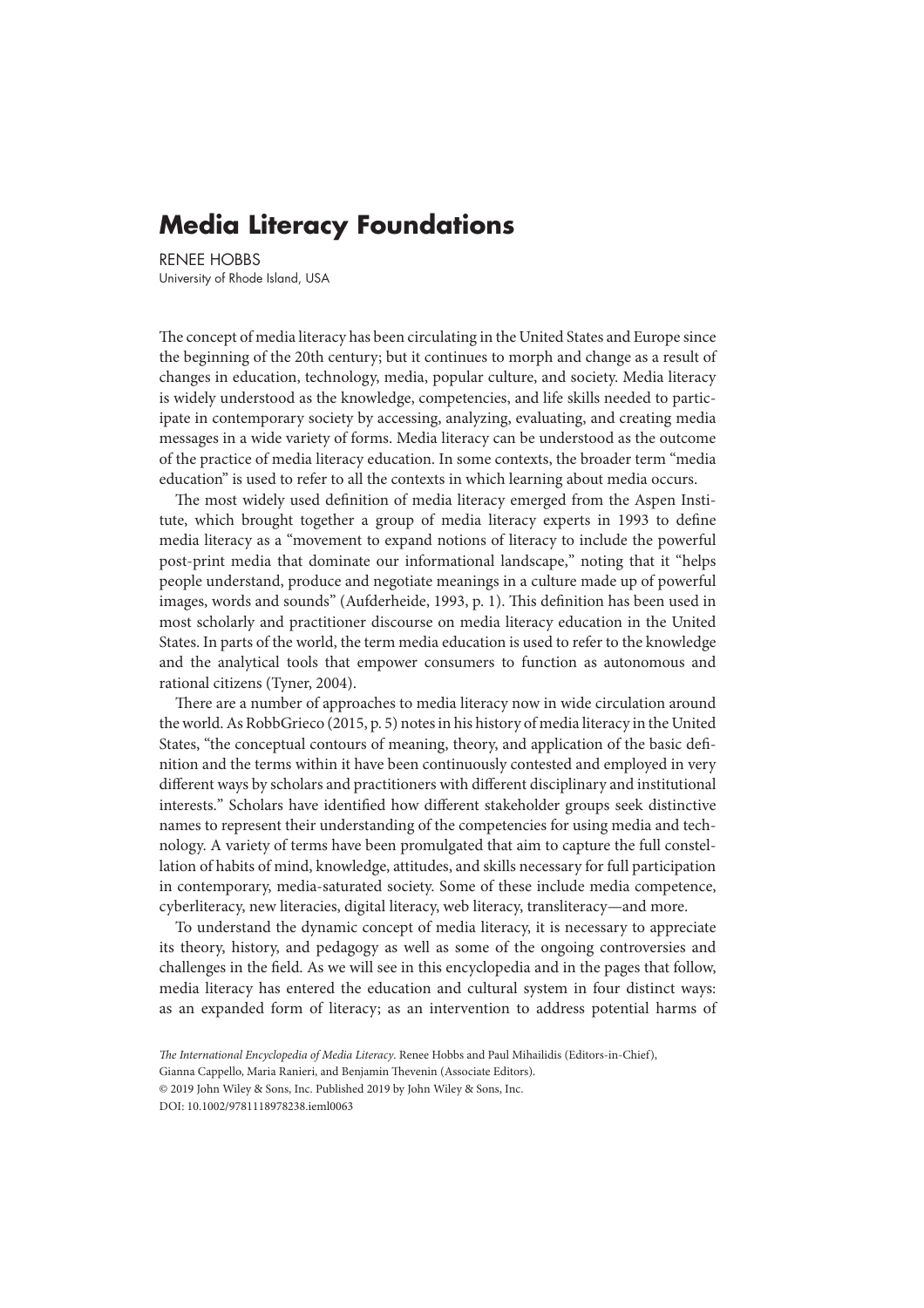# **Media Literacy Foundations**

RENEE HOBBS University of Rhode Island, USA

The concept of media literacy has been circulating in the United States and Europe since the beginning of the 20th century; but it continues to morph and change as a result of changes in education, technology, media, popular culture, and society. Media literacy is widely understood as the knowledge, competencies, and life skills needed to participate in contemporary society by accessing, analyzing, evaluating, and creating media messages in a wide variety of forms. Media literacy can be understood as the outcome of the practice of media literacy education. In some contexts, the broader term "media education" is used to refer to all the contexts in which learning about media occurs.

The most widely used definition of media literacy emerged from the Aspen Institute, which brought together a group of media literacy experts in 1993 to define media literacy as a "movement to expand notions of literacy to include the powerful post-print media that dominate our informational landscape," noting that it "helps people understand, produce and negotiate meanings in a culture made up of powerful images, words and sounds" (Aufderheide, 1993, p. 1). This definition has been used in most scholarly and practitioner discourse on media literacy education in the United States. In parts of the world, the term media education is used to refer to the knowledge and the analytical tools that empower consumers to function as autonomous and rational citizens (Tyner, 2004).

There are a number of approaches to media literacy now in wide circulation around the world. As RobbGrieco (2015, p. 5) notes in his history of media literacy in the United States, "the conceptual contours of meaning, theory, and application of the basic definition and the terms within it have been continuously contested and employed in very different ways by scholars and practitioners with different disciplinary and institutional interests." Scholars have identified how different stakeholder groups seek distinctive names to represent their understanding of the competencies for using media and technology. A variety of terms have been promulgated that aim to capture the full constellation of habits of mind, knowledge, attitudes, and skills necessary for full participation in contemporary, media-saturated society. Some of these include media competence, cyberliteracy, new literacies, digital literacy, web literacy, transliteracy—and more.

To understand the dynamic concept of media literacy, it is necessary to appreciate its theory, history, and pedagogy as well as some of the ongoing controversies and challenges in the field. As we will see in this encyclopedia and in the pages that follow, media literacy has entered the education and cultural system in four distinct ways: as an expanded form of literacy; as an intervention to address potential harms of

*The International Encyclopedia of Media Literacy*. Renee Hobbs and Paul Mihailidis (Editors-in-Chief),

Gianna Cappello, Maria Ranieri, and Benjamin Thevenin (Associate Editors).

<sup>© 2019</sup> John Wiley & Sons, Inc. Published 2019 by John Wiley & Sons, Inc.

DOI: 10.1002/9781118978238.ieml0063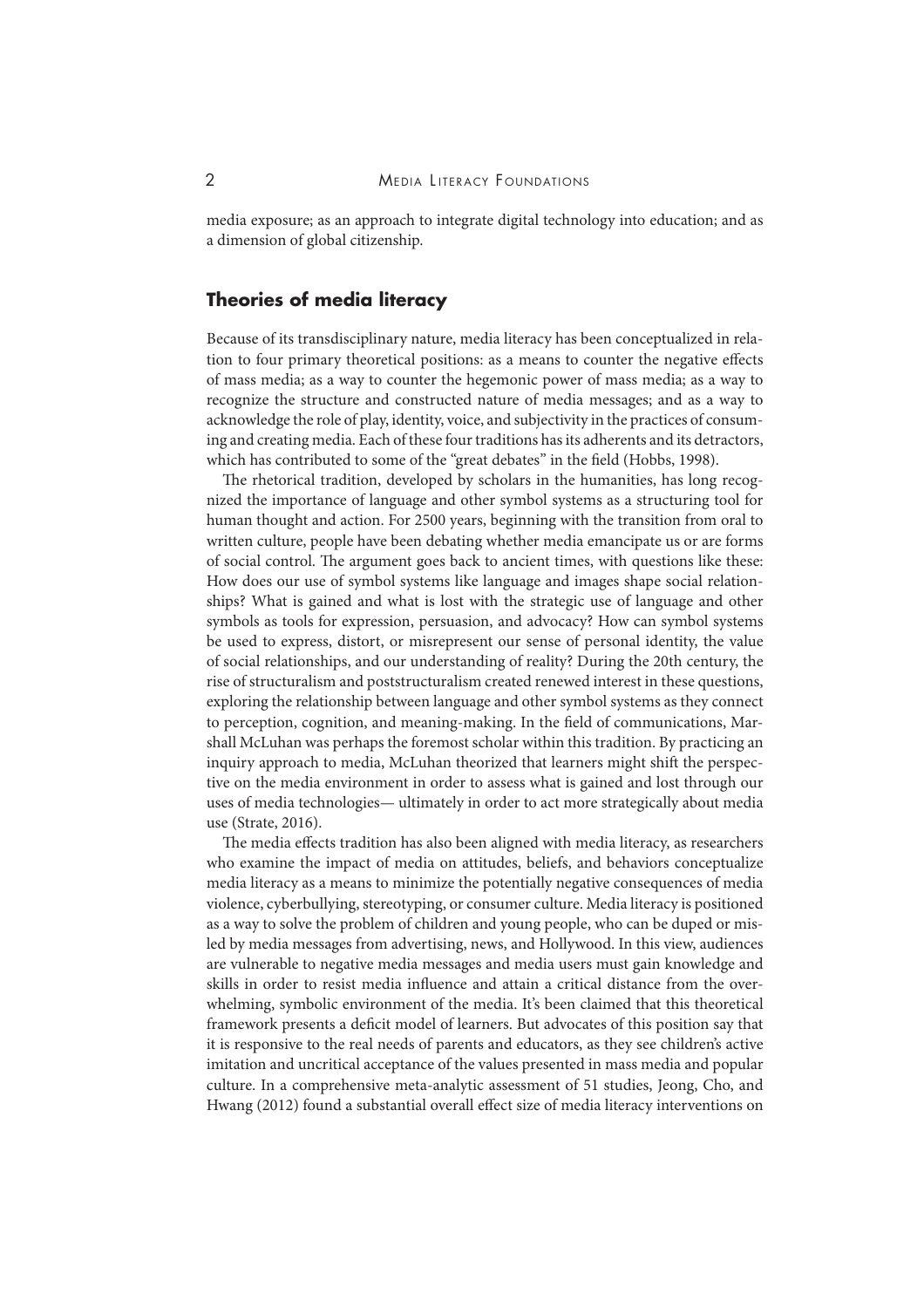media exposure; as an approach to integrate digital technology into education; and as a dimension of global citizenship.

# **Theories of media literacy**

Because of its transdisciplinary nature, media literacy has been conceptualized in relation to four primary theoretical positions: as a means to counter the negative effects of mass media; as a way to counter the hegemonic power of mass media; as a way to recognize the structure and constructed nature of media messages; and as a way to acknowledge the role of play, identity, voice, and subjectivity in the practices of consuming and creating media. Each of these four traditions has its adherents and its detractors, which has contributed to some of the "great debates" in the field (Hobbs, 1998).

The rhetorical tradition, developed by scholars in the humanities, has long recognized the importance of language and other symbol systems as a structuring tool for human thought and action. For 2500 years, beginning with the transition from oral to written culture, people have been debating whether media emancipate us or are forms of social control. The argument goes back to ancient times, with questions like these: How does our use of symbol systems like language and images shape social relationships? What is gained and what is lost with the strategic use of language and other symbols as tools for expression, persuasion, and advocacy? How can symbol systems be used to express, distort, or misrepresent our sense of personal identity, the value of social relationships, and our understanding of reality? During the 20th century, the rise of structuralism and poststructuralism created renewed interest in these questions, exploring the relationship between language and other symbol systems as they connect to perception, cognition, and meaning-making. In the field of communications, Marshall McLuhan was perhaps the foremost scholar within this tradition. By practicing an inquiry approach to media, McLuhan theorized that learners might shift the perspective on the media environment in order to assess what is gained and lost through our uses of media technologies— ultimately in order to act more strategically about media use (Strate, 2016).

The media effects tradition has also been aligned with media literacy, as researchers who examine the impact of media on attitudes, beliefs, and behaviors conceptualize media literacy as a means to minimize the potentially negative consequences of media violence, cyberbullying, stereotyping, or consumer culture. Media literacy is positioned as a way to solve the problem of children and young people, who can be duped or misled by media messages from advertising, news, and Hollywood. In this view, audiences are vulnerable to negative media messages and media users must gain knowledge and skills in order to resist media influence and attain a critical distance from the overwhelming, symbolic environment of the media. It's been claimed that this theoretical framework presents a deficit model of learners. But advocates of this position say that it is responsive to the real needs of parents and educators, as they see children's active imitation and uncritical acceptance of the values presented in mass media and popular culture. In a comprehensive meta-analytic assessment of 51 studies, Jeong, Cho, and Hwang (2012) found a substantial overall effect size of media literacy interventions on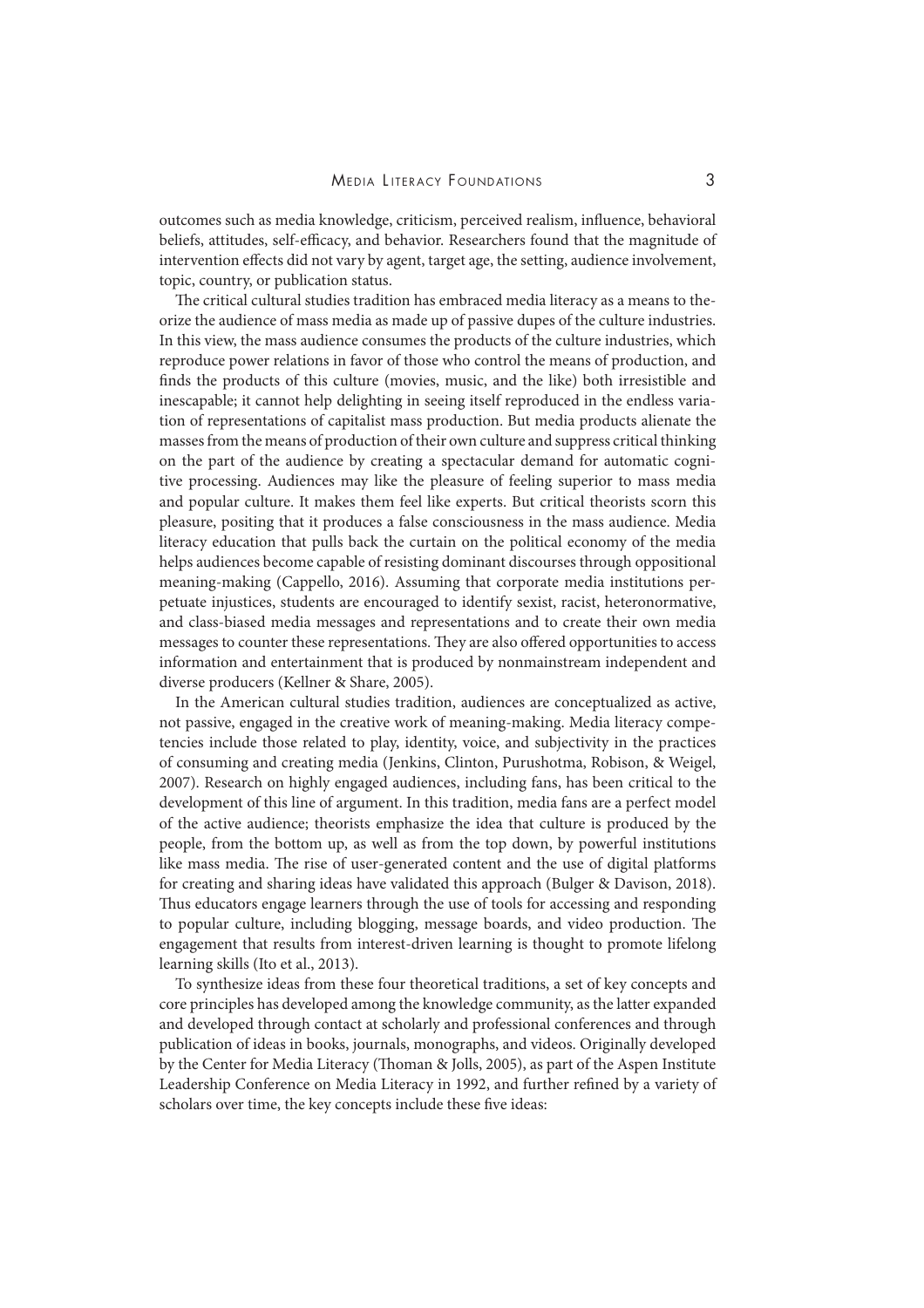outcomes such as media knowledge, criticism, perceived realism, influence, behavioral beliefs, attitudes, self-efficacy, and behavior. Researchers found that the magnitude of intervention effects did not vary by agent, target age, the setting, audience involvement, topic, country, or publication status.

The critical cultural studies tradition has embraced media literacy as a means to theorize the audience of mass media as made up of passive dupes of the culture industries. In this view, the mass audience consumes the products of the culture industries, which reproduce power relations in favor of those who control the means of production, and finds the products of this culture (movies, music, and the like) both irresistible and inescapable; it cannot help delighting in seeing itself reproduced in the endless variation of representations of capitalist mass production. But media products alienate the masses from the means of production of their own culture and suppress critical thinking on the part of the audience by creating a spectacular demand for automatic cognitive processing. Audiences may like the pleasure of feeling superior to mass media and popular culture. It makes them feel like experts. But critical theorists scorn this pleasure, positing that it produces a false consciousness in the mass audience. Media literacy education that pulls back the curtain on the political economy of the media helps audiences become capable of resisting dominant discourses through oppositional meaning-making (Cappello, 2016). Assuming that corporate media institutions perpetuate injustices, students are encouraged to identify sexist, racist, heteronormative, and class-biased media messages and representations and to create their own media messages to counter these representations. They are also offered opportunities to access information and entertainment that is produced by nonmainstream independent and diverse producers (Kellner & Share, 2005).

In the American cultural studies tradition, audiences are conceptualized as active, not passive, engaged in the creative work of meaning-making. Media literacy competencies include those related to play, identity, voice, and subjectivity in the practices of consuming and creating media (Jenkins, Clinton, Purushotma, Robison, & Weigel, 2007). Research on highly engaged audiences, including fans, has been critical to the development of this line of argument. In this tradition, media fans are a perfect model of the active audience; theorists emphasize the idea that culture is produced by the people, from the bottom up, as well as from the top down, by powerful institutions like mass media. The rise of user-generated content and the use of digital platforms for creating and sharing ideas have validated this approach (Bulger & Davison, 2018). Thus educators engage learners through the use of tools for accessing and responding to popular culture, including blogging, message boards, and video production. The engagement that results from interest-driven learning is thought to promote lifelong learning skills (Ito et al., 2013).

To synthesize ideas from these four theoretical traditions, a set of key concepts and core principles has developed among the knowledge community, as the latter expanded and developed through contact at scholarly and professional conferences and through publication of ideas in books, journals, monographs, and videos. Originally developed by the Center for Media Literacy (Thoman & Jolls, 2005), as part of the Aspen Institute Leadership Conference on Media Literacy in 1992, and further refined by a variety of scholars over time, the key concepts include these five ideas: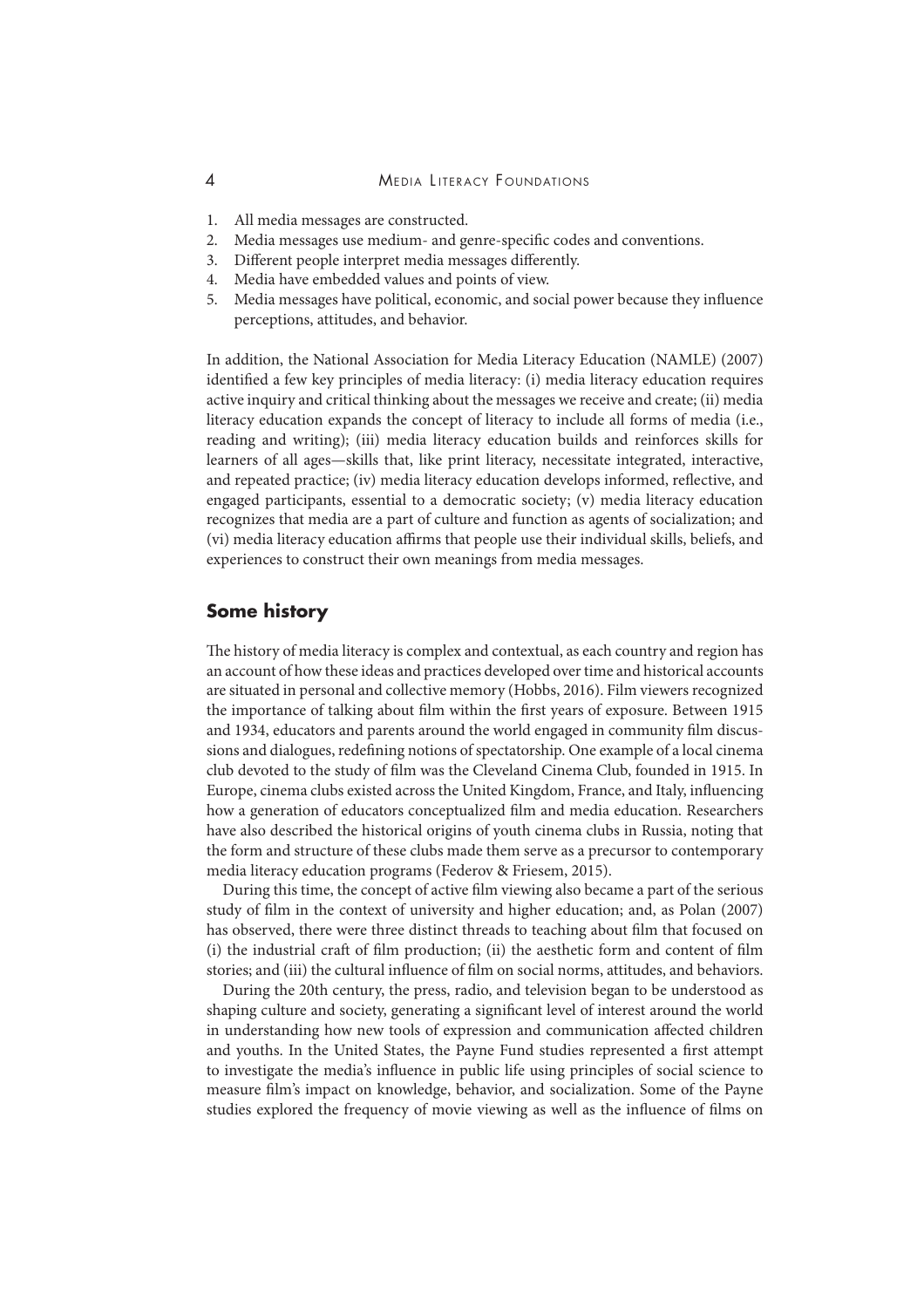- 1. All media messages are constructed.
- 2. Media messages use medium- and genre-specific codes and conventions.
- 3. Different people interpret media messages differently.
- 4. Media have embedded values and points of view.
- 5. Media messages have political, economic, and social power because they influence perceptions, attitudes, and behavior.

In addition, the National Association for Media Literacy Education (NAMLE) (2007) identified a few key principles of media literacy: (i) media literacy education requires active inquiry and critical thinking about the messages we receive and create; (ii) media literacy education expands the concept of literacy to include all forms of media (i.e., reading and writing); (iii) media literacy education builds and reinforces skills for learners of all ages—skills that, like print literacy, necessitate integrated, interactive, and repeated practice; (iv) media literacy education develops informed, reflective, and engaged participants, essential to a democratic society; (v) media literacy education recognizes that media are a part of culture and function as agents of socialization; and (vi) media literacy education affirms that people use their individual skills, beliefs, and experiences to construct their own meanings from media messages.

#### **Some history**

The history of media literacy is complex and contextual, as each country and region has an account of how these ideas and practices developed over time and historical accounts are situated in personal and collective memory (Hobbs, 2016). Film viewers recognized the importance of talking about film within the first years of exposure. Between 1915 and 1934, educators and parents around the world engaged in community film discussions and dialogues, redefining notions of spectatorship. One example of a local cinema club devoted to the study of film was the Cleveland Cinema Club, founded in 1915. In Europe, cinema clubs existed across the United Kingdom, France, and Italy, influencing how a generation of educators conceptualized film and media education. Researchers have also described the historical origins of youth cinema clubs in Russia, noting that the form and structure of these clubs made them serve as a precursor to contemporary media literacy education programs (Federov & Friesem, 2015).

During this time, the concept of active film viewing also became a part of the serious study of film in the context of university and higher education; and, as Polan (2007) has observed, there were three distinct threads to teaching about film that focused on (i) the industrial craft of film production; (ii) the aesthetic form and content of film stories; and (iii) the cultural influence of film on social norms, attitudes, and behaviors.

During the 20th century, the press, radio, and television began to be understood as shaping culture and society, generating a significant level of interest around the world in understanding how new tools of expression and communication affected children and youths. In the United States, the Payne Fund studies represented a first attempt to investigate the media's influence in public life using principles of social science to measure film's impact on knowledge, behavior, and socialization. Some of the Payne studies explored the frequency of movie viewing as well as the influence of films on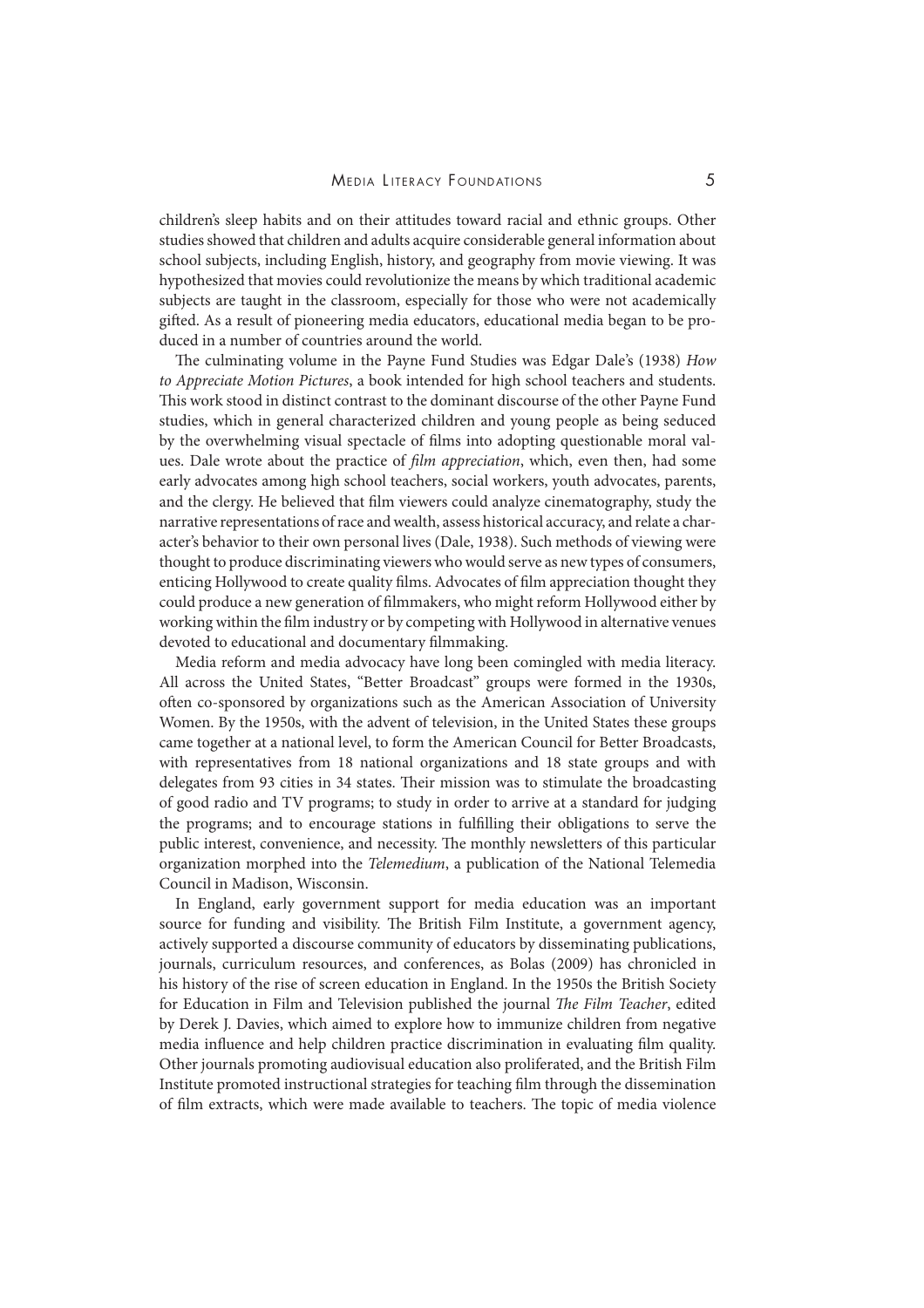children's sleep habits and on their attitudes toward racial and ethnic groups. Other studies showed that children and adults acquire considerable general information about school subjects, including English, history, and geography from movie viewing. It was hypothesized that movies could revolutionize the means by which traditional academic subjects are taught in the classroom, especially for those who were not academically gifted. As a result of pioneering media educators, educational media began to be produced in a number of countries around the world.

The culminating volume in the Payne Fund Studies was Edgar Dale's (1938) *How to Appreciate Motion Pictures*, a book intended for high school teachers and students. This work stood in distinct contrast to the dominant discourse of the other Payne Fund studies, which in general characterized children and young people as being seduced by the overwhelming visual spectacle of films into adopting questionable moral values. Dale wrote about the practice of *film appreciation*, which, even then, had some early advocates among high school teachers, social workers, youth advocates, parents, and the clergy. He believed that film viewers could analyze cinematography, study the narrative representations of race and wealth, assess historical accuracy, and relate a character's behavior to their own personal lives (Dale, 1938). Such methods of viewing were thought to produce discriminating viewers who would serve as new types of consumers, enticing Hollywood to create quality films. Advocates of film appreciation thought they could produce a new generation of filmmakers, who might reform Hollywood either by working within the film industry or by competing with Hollywood in alternative venues devoted to educational and documentary filmmaking.

Media reform and media advocacy have long been comingled with media literacy. All across the United States, "Better Broadcast" groups were formed in the 1930s, often co-sponsored by organizations such as the American Association of University Women. By the 1950s, with the advent of television, in the United States these groups came together at a national level, to form the American Council for Better Broadcasts, with representatives from 18 national organizations and 18 state groups and with delegates from 93 cities in 34 states. Their mission was to stimulate the broadcasting of good radio and TV programs; to study in order to arrive at a standard for judging the programs; and to encourage stations in fulfilling their obligations to serve the public interest, convenience, and necessity. The monthly newsletters of this particular organization morphed into the *Telemedium*, a publication of the National Telemedia Council in Madison, Wisconsin.

In England, early government support for media education was an important source for funding and visibility. The British Film Institute, a government agency, actively supported a discourse community of educators by disseminating publications, journals, curriculum resources, and conferences, as Bolas (2009) has chronicled in his history of the rise of screen education in England. In the 1950s the British Society for Education in Film and Television published the journal *The Film Teacher*, edited by Derek J. Davies, which aimed to explore how to immunize children from negative media influence and help children practice discrimination in evaluating film quality. Other journals promoting audiovisual education also proliferated, and the British Film Institute promoted instructional strategies for teaching film through the dissemination of film extracts, which were made available to teachers. The topic of media violence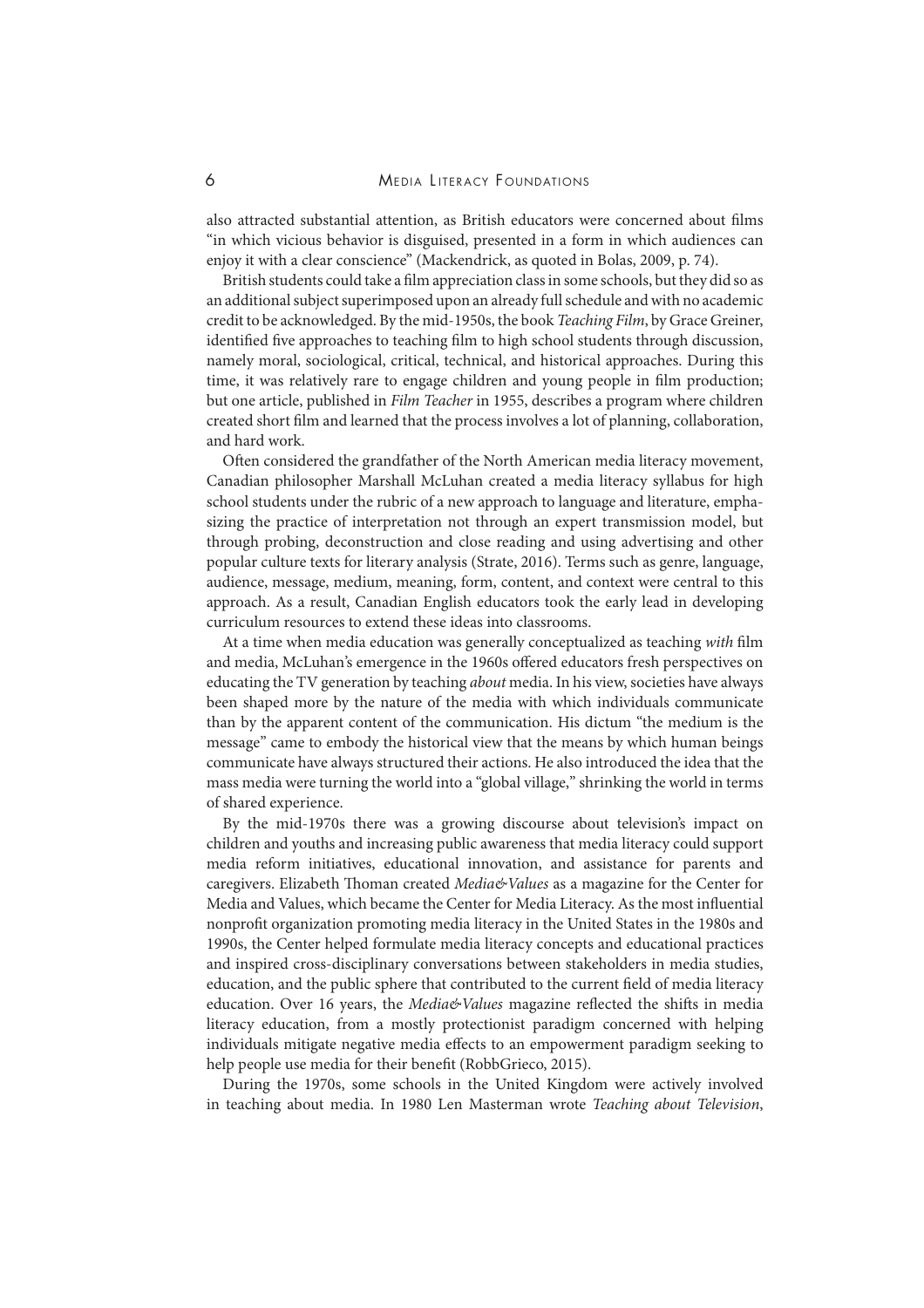also attracted substantial attention, as British educators were concerned about films "in which vicious behavior is disguised, presented in a form in which audiences can enjoy it with a clear conscience" (Mackendrick, as quoted in Bolas, 2009, p. 74).

British students could take a film appreciation class in some schools, but they did so as an additional subject superimposed upon an already full schedule and with no academic credit to be acknowledged. By the mid-1950s, the book *Teaching Film*, by Grace Greiner, identified five approaches to teaching film to high school students through discussion, namely moral, sociological, critical, technical, and historical approaches. During this time, it was relatively rare to engage children and young people in film production; but one article, published in *Film Teacher* in 1955, describes a program where children created short film and learned that the process involves a lot of planning, collaboration, and hard work.

Often considered the grandfather of the North American media literacy movement, Canadian philosopher Marshall McLuhan created a media literacy syllabus for high school students under the rubric of a new approach to language and literature, emphasizing the practice of interpretation not through an expert transmission model, but through probing, deconstruction and close reading and using advertising and other popular culture texts for literary analysis (Strate, 2016). Terms such as genre, language, audience, message, medium, meaning, form, content, and context were central to this approach. As a result, Canadian English educators took the early lead in developing curriculum resources to extend these ideas into classrooms.

At a time when media education was generally conceptualized as teaching *with* film and media, McLuhan's emergence in the 1960s offered educators fresh perspectives on educating the TV generation by teaching *about* media. In his view, societies have always been shaped more by the nature of the media with which individuals communicate than by the apparent content of the communication. His dictum "the medium is the message" came to embody the historical view that the means by which human beings communicate have always structured their actions. He also introduced the idea that the mass media were turning the world into a "global village," shrinking the world in terms of shared experience.

By the mid-1970s there was a growing discourse about television's impact on children and youths and increasing public awareness that media literacy could support media reform initiatives, educational innovation, and assistance for parents and caregivers. Elizabeth Thoman created *Media&Values* as a magazine for the Center for Media and Values, which became the Center for Media Literacy. As the most influential nonprofit organization promoting media literacy in the United States in the 1980s and 1990s, the Center helped formulate media literacy concepts and educational practices and inspired cross-disciplinary conversations between stakeholders in media studies, education, and the public sphere that contributed to the current field of media literacy education. Over 16 years, the *Media&Values* magazine reflected the shifts in media literacy education, from a mostly protectionist paradigm concerned with helping individuals mitigate negative media effects to an empowerment paradigm seeking to help people use media for their benefit (RobbGrieco, 2015).

During the 1970s, some schools in the United Kingdom were actively involved in teaching about media. In 1980 Len Masterman wrote *Teaching about Television*,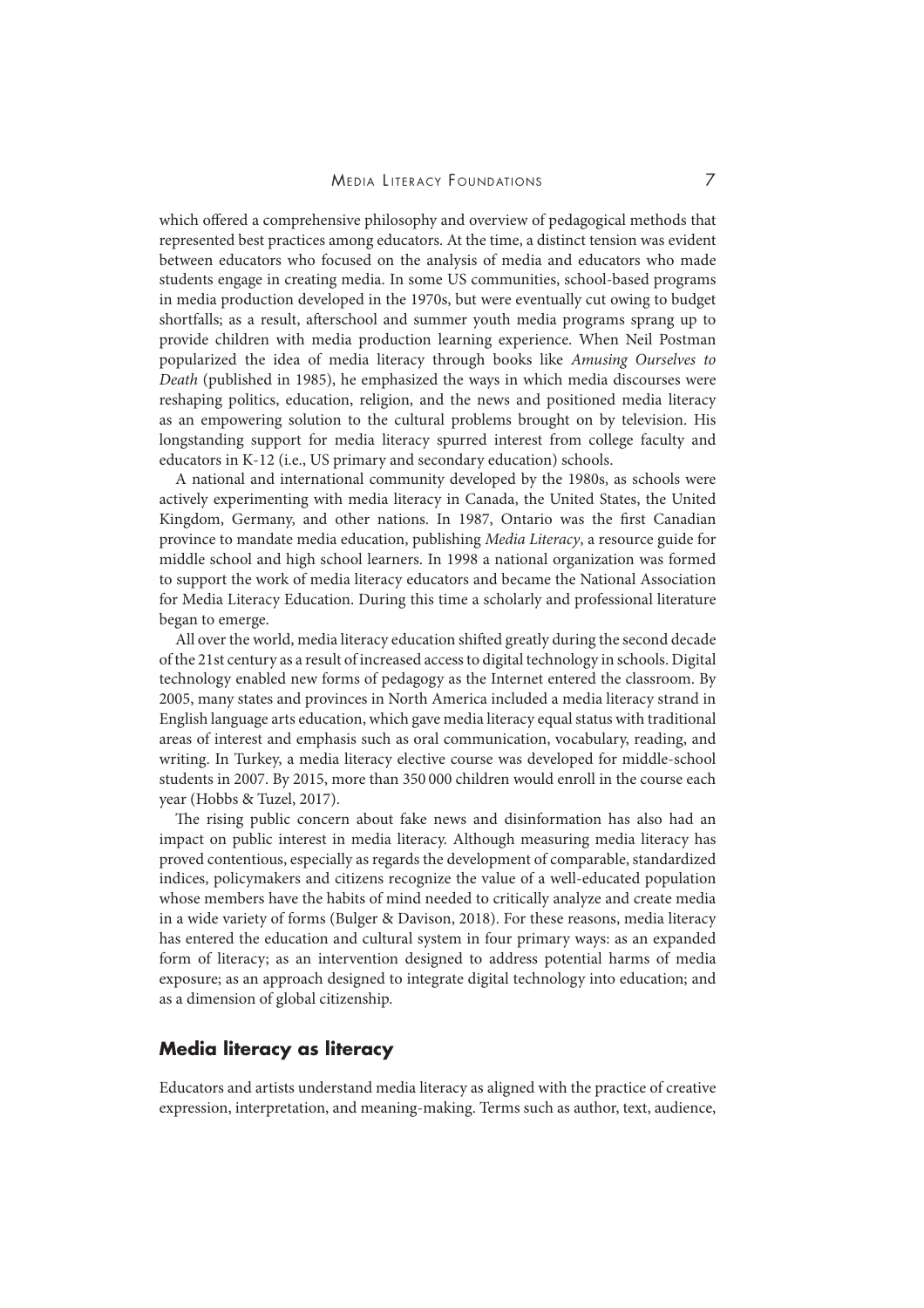which offered a comprehensive philosophy and overview of pedagogical methods that represented best practices among educators. At the time, a distinct tension was evident between educators who focused on the analysis of media and educators who made students engage in creating media. In some US communities, school-based programs in media production developed in the 1970s, but were eventually cut owing to budget shortfalls; as a result, afterschool and summer youth media programs sprang up to provide children with media production learning experience. When Neil Postman popularized the idea of media literacy through books like *Amusing Ourselves to Death* (published in 1985), he emphasized the ways in which media discourses were reshaping politics, education, religion, and the news and positioned media literacy as an empowering solution to the cultural problems brought on by television. His longstanding support for media literacy spurred interest from college faculty and educators in K-12 (i.e., US primary and secondary education) schools.

A national and international community developed by the 1980s, as schools were actively experimenting with media literacy in Canada, the United States, the United Kingdom, Germany, and other nations. In 1987, Ontario was the first Canadian province to mandate media education, publishing *Media Literacy*, a resource guide for middle school and high school learners. In 1998 a national organization was formed to support the work of media literacy educators and became the National Association for Media Literacy Education. During this time a scholarly and professional literature began to emerge.

All over the world, media literacy education shifted greatly during the second decade of the 21st century as a result of increased access to digital technology in schools. Digital technology enabled new forms of pedagogy as the Internet entered the classroom. By 2005, many states and provinces in North America included a media literacy strand in English language arts education, which gave media literacy equal status with traditional areas of interest and emphasis such as oral communication, vocabulary, reading, and writing. In Turkey, a media literacy elective course was developed for middle-school students in 2007. By 2015, more than 350 000 children would enroll in the course each year (Hobbs & Tuzel, 2017).

The rising public concern about fake news and disinformation has also had an impact on public interest in media literacy. Although measuring media literacy has proved contentious, especially as regards the development of comparable, standardized indices, policymakers and citizens recognize the value of a well-educated population whose members have the habits of mind needed to critically analyze and create media in a wide variety of forms (Bulger & Davison, 2018). For these reasons, media literacy has entered the education and cultural system in four primary ways: as an expanded form of literacy; as an intervention designed to address potential harms of media exposure; as an approach designed to integrate digital technology into education; and as a dimension of global citizenship.

#### **Media literacy as literacy**

Educators and artists understand media literacy as aligned with the practice of creative expression, interpretation, and meaning-making. Terms such as author, text, audience,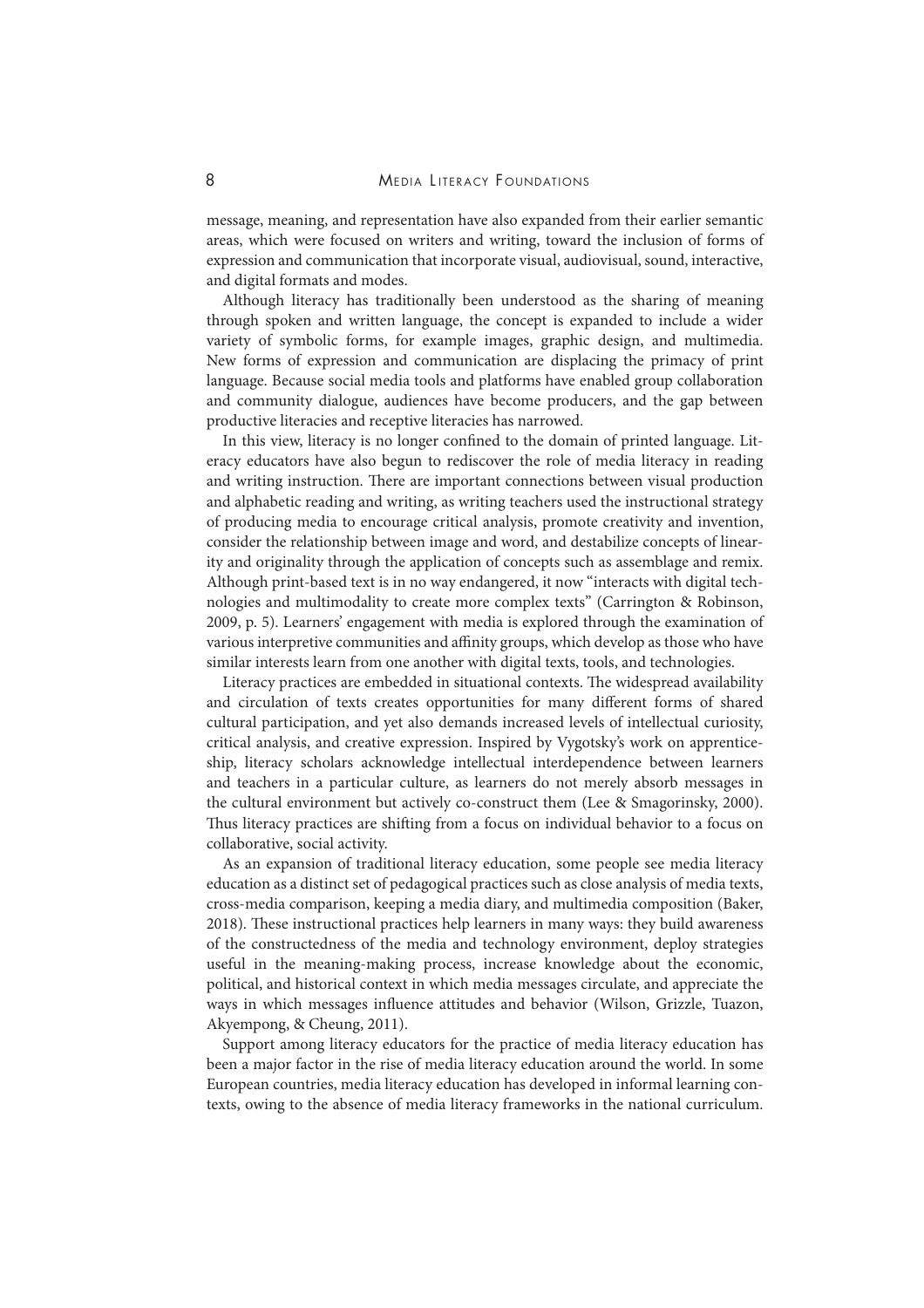message, meaning, and representation have also expanded from their earlier semantic areas, which were focused on writers and writing, toward the inclusion of forms of expression and communication that incorporate visual, audiovisual, sound, interactive, and digital formats and modes.

Although literacy has traditionally been understood as the sharing of meaning through spoken and written language, the concept is expanded to include a wider variety of symbolic forms, for example images, graphic design, and multimedia. New forms of expression and communication are displacing the primacy of print language. Because social media tools and platforms have enabled group collaboration and community dialogue, audiences have become producers, and the gap between productive literacies and receptive literacies has narrowed.

In this view, literacy is no longer confined to the domain of printed language. Literacy educators have also begun to rediscover the role of media literacy in reading and writing instruction. There are important connections between visual production and alphabetic reading and writing, as writing teachers used the instructional strategy of producing media to encourage critical analysis, promote creativity and invention, consider the relationship between image and word, and destabilize concepts of linearity and originality through the application of concepts such as assemblage and remix. Although print-based text is in no way endangered, it now "interacts with digital technologies and multimodality to create more complex texts" (Carrington & Robinson, 2009, p. 5). Learners' engagement with media is explored through the examination of various interpretive communities and affinity groups, which develop as those who have similar interests learn from one another with digital texts, tools, and technologies.

Literacy practices are embedded in situational contexts. The widespread availability and circulation of texts creates opportunities for many different forms of shared cultural participation, and yet also demands increased levels of intellectual curiosity, critical analysis, and creative expression. Inspired by Vygotsky's work on apprenticeship, literacy scholars acknowledge intellectual interdependence between learners and teachers in a particular culture, as learners do not merely absorb messages in the cultural environment but actively co-construct them (Lee & Smagorinsky, 2000). Thus literacy practices are shifting from a focus on individual behavior to a focus on collaborative, social activity.

As an expansion of traditional literacy education, some people see media literacy education as a distinct set of pedagogical practices such as close analysis of media texts, cross-media comparison, keeping a media diary, and multimedia composition (Baker, 2018). These instructional practices help learners in many ways: they build awareness of the constructedness of the media and technology environment, deploy strategies useful in the meaning-making process, increase knowledge about the economic, political, and historical context in which media messages circulate, and appreciate the ways in which messages influence attitudes and behavior (Wilson, Grizzle, Tuazon, Akyempong, & Cheung, 2011).

Support among literacy educators for the practice of media literacy education has been a major factor in the rise of media literacy education around the world. In some European countries, media literacy education has developed in informal learning contexts, owing to the absence of media literacy frameworks in the national curriculum.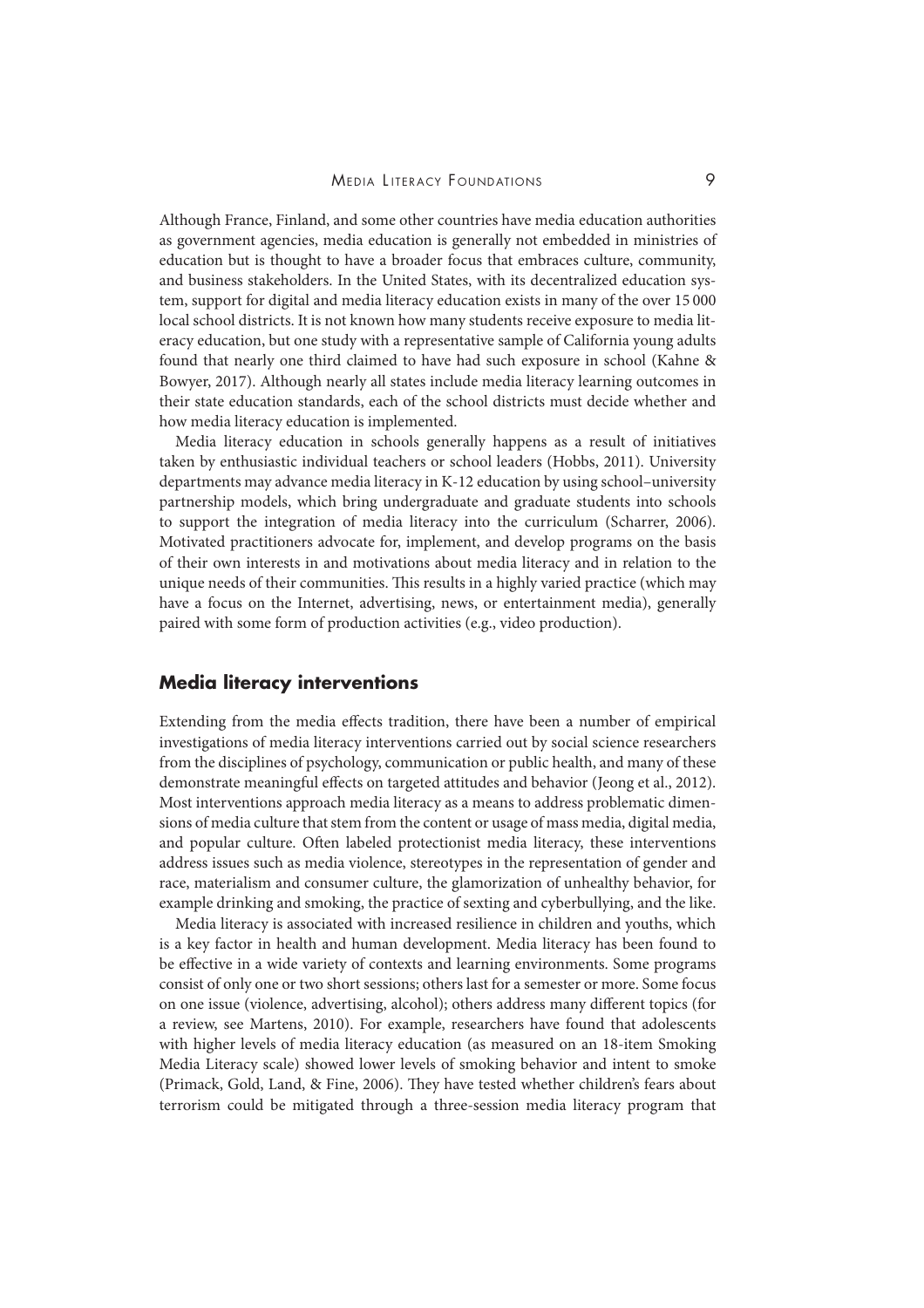Although France, Finland, and some other countries have media education authorities as government agencies, media education is generally not embedded in ministries of education but is thought to have a broader focus that embraces culture, community, and business stakeholders. In the United States, with its decentralized education system, support for digital and media literacy education exists in many of the over 15 000 local school districts. It is not known how many students receive exposure to media literacy education, but one study with a representative sample of California young adults found that nearly one third claimed to have had such exposure in school (Kahne & Bowyer, 2017). Although nearly all states include media literacy learning outcomes in their state education standards, each of the school districts must decide whether and how media literacy education is implemented.

Media literacy education in schools generally happens as a result of initiatives taken by enthusiastic individual teachers or school leaders (Hobbs, 2011). University departments may advance media literacy in K-12 education by using school–university partnership models, which bring undergraduate and graduate students into schools to support the integration of media literacy into the curriculum (Scharrer, 2006). Motivated practitioners advocate for, implement, and develop programs on the basis of their own interests in and motivations about media literacy and in relation to the unique needs of their communities. This results in a highly varied practice (which may have a focus on the Internet, advertising, news, or entertainment media), generally paired with some form of production activities (e.g., video production).

#### **Media literacy interventions**

Extending from the media effects tradition, there have been a number of empirical investigations of media literacy interventions carried out by social science researchers from the disciplines of psychology, communication or public health, and many of these demonstrate meaningful effects on targeted attitudes and behavior (Jeong et al., 2012). Most interventions approach media literacy as a means to address problematic dimensions of media culture that stem from the content or usage of mass media, digital media, and popular culture. Often labeled protectionist media literacy, these interventions address issues such as media violence, stereotypes in the representation of gender and race, materialism and consumer culture, the glamorization of unhealthy behavior, for example drinking and smoking, the practice of sexting and cyberbullying, and the like.

Media literacy is associated with increased resilience in children and youths, which is a key factor in health and human development. Media literacy has been found to be effective in a wide variety of contexts and learning environments. Some programs consist of only one or two short sessions; others last for a semester or more. Some focus on one issue (violence, advertising, alcohol); others address many different topics (for a review, see Martens, 2010). For example, researchers have found that adolescents with higher levels of media literacy education (as measured on an 18-item Smoking Media Literacy scale) showed lower levels of smoking behavior and intent to smoke (Primack, Gold, Land, & Fine, 2006). They have tested whether children's fears about terrorism could be mitigated through a three-session media literacy program that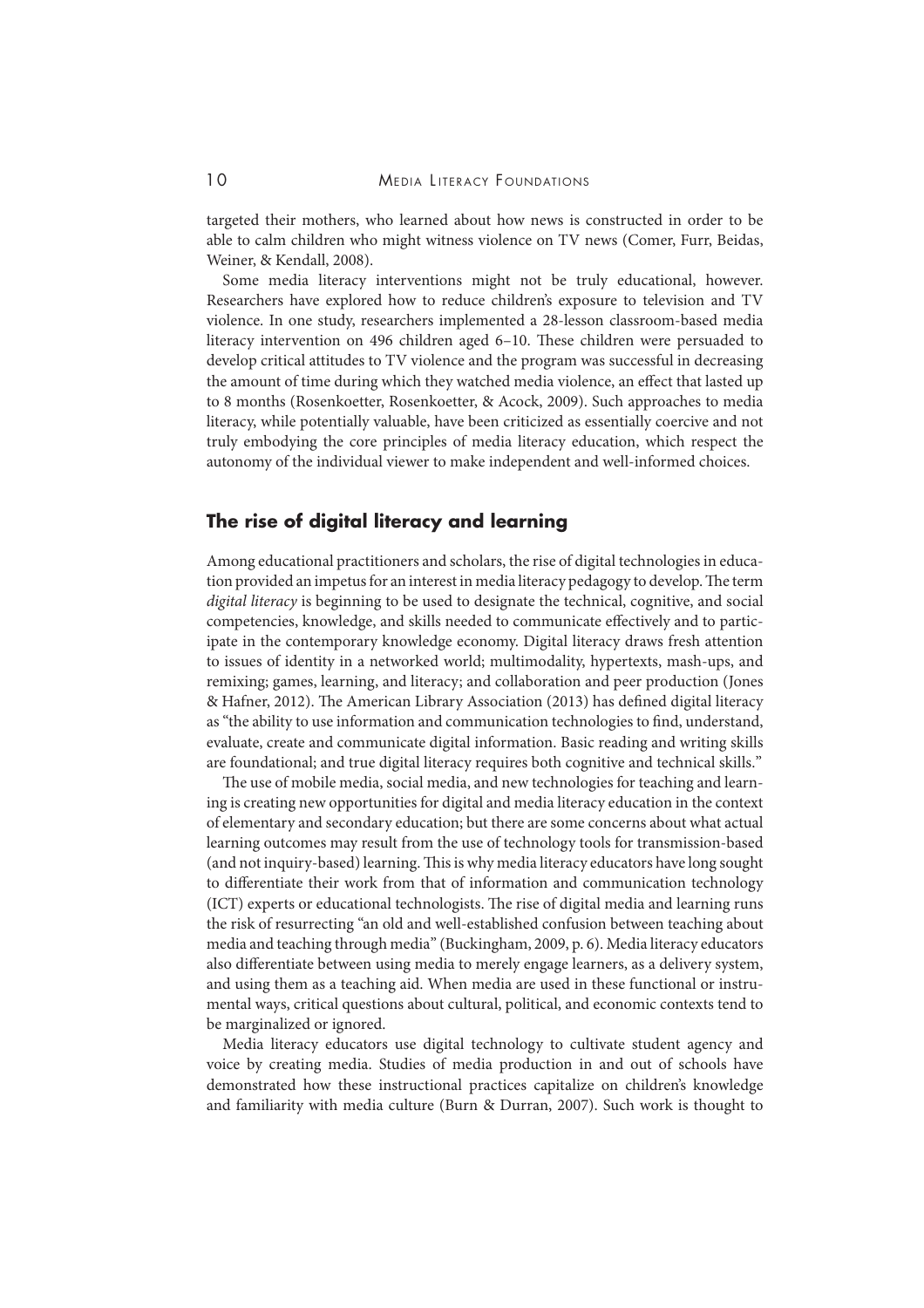targeted their mothers, who learned about how news is constructed in order to be able to calm children who might witness violence on TV news (Comer, Furr, Beidas, Weiner, & Kendall, 2008).

Some media literacy interventions might not be truly educational, however. Researchers have explored how to reduce children's exposure to television and TV violence. In one study, researchers implemented a 28-lesson classroom-based media literacy intervention on 496 children aged 6–10. These children were persuaded to develop critical attitudes to TV violence and the program was successful in decreasing the amount of time during which they watched media violence, an effect that lasted up to 8 months (Rosenkoetter, Rosenkoetter, & Acock, 2009). Such approaches to media literacy, while potentially valuable, have been criticized as essentially coercive and not truly embodying the core principles of media literacy education, which respect the autonomy of the individual viewer to make independent and well-informed choices.

# **The rise of digital literacy and learning**

Among educational practitioners and scholars, the rise of digital technologies in education provided an impetus for an interest in media literacy pedagogy to develop.The term *digital literacy* is beginning to be used to designate the technical, cognitive, and social competencies, knowledge, and skills needed to communicate effectively and to participate in the contemporary knowledge economy. Digital literacy draws fresh attention to issues of identity in a networked world; multimodality, hypertexts, mash-ups, and remixing; games, learning, and literacy; and collaboration and peer production (Jones & Hafner, 2012). The American Library Association (2013) has defined digital literacy as "the ability to use information and communication technologies to find, understand, evaluate, create and communicate digital information. Basic reading and writing skills are foundational; and true digital literacy requires both cognitive and technical skills."

The use of mobile media, social media, and new technologies for teaching and learning is creating new opportunities for digital and media literacy education in the context of elementary and secondary education; but there are some concerns about what actual learning outcomes may result from the use of technology tools for transmission-based (and not inquiry-based) learning.This is why media literacy educators have long sought to differentiate their work from that of information and communication technology (ICT) experts or educational technologists. The rise of digital media and learning runs the risk of resurrecting "an old and well-established confusion between teaching about media and teaching through media" (Buckingham, 2009, p. 6). Media literacy educators also differentiate between using media to merely engage learners, as a delivery system, and using them as a teaching aid. When media are used in these functional or instrumental ways, critical questions about cultural, political, and economic contexts tend to be marginalized or ignored.

Media literacy educators use digital technology to cultivate student agency and voice by creating media. Studies of media production in and out of schools have demonstrated how these instructional practices capitalize on children's knowledge and familiarity with media culture (Burn & Durran, 2007). Such work is thought to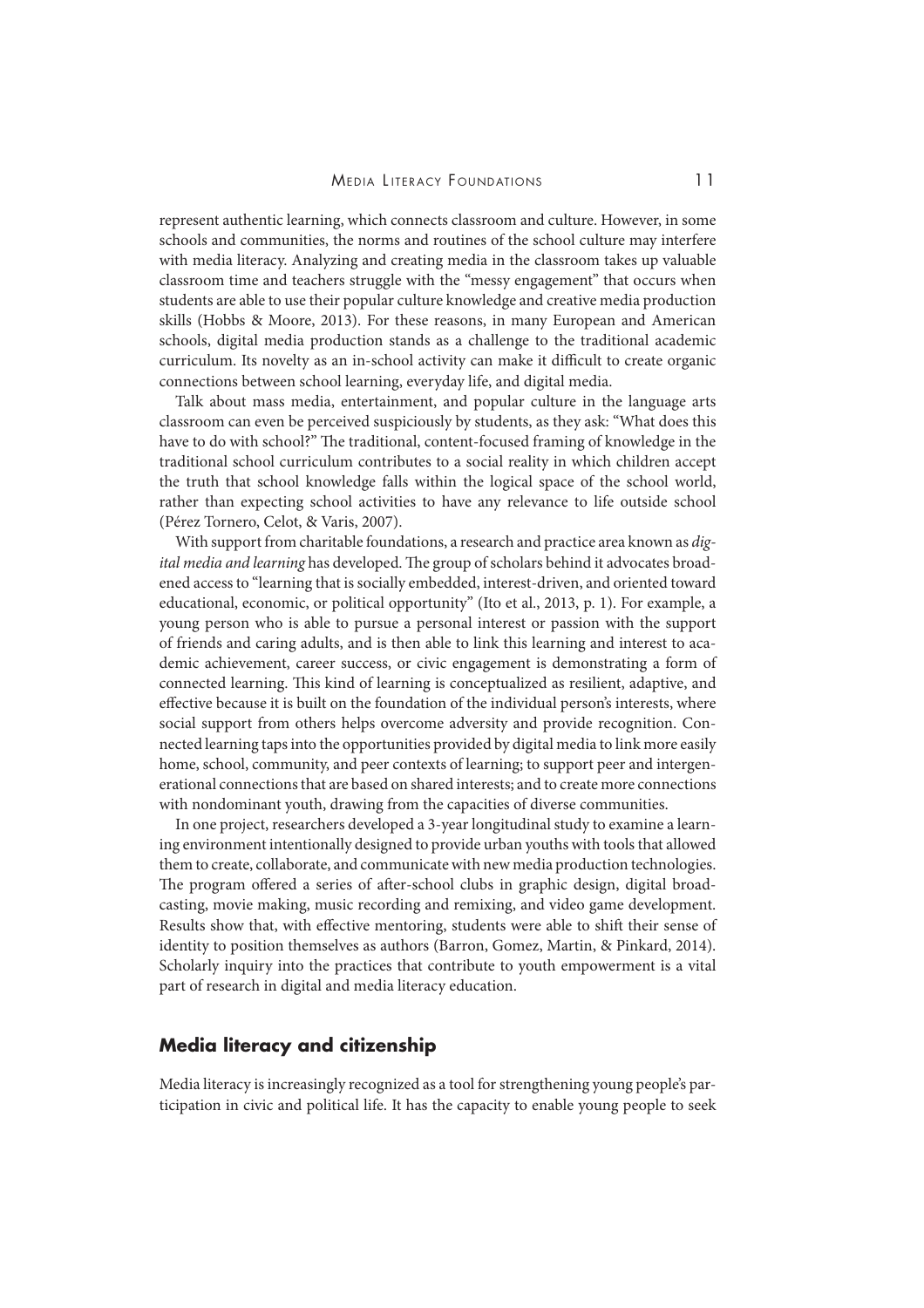represent authentic learning, which connects classroom and culture. However, in some schools and communities, the norms and routines of the school culture may interfere with media literacy. Analyzing and creating media in the classroom takes up valuable classroom time and teachers struggle with the "messy engagement" that occurs when students are able to use their popular culture knowledge and creative media production skills (Hobbs & Moore, 2013). For these reasons, in many European and American schools, digital media production stands as a challenge to the traditional academic curriculum. Its novelty as an in-school activity can make it difficult to create organic connections between school learning, everyday life, and digital media.

Talk about mass media, entertainment, and popular culture in the language arts classroom can even be perceived suspiciously by students, as they ask: "What does this have to do with school?" The traditional, content-focused framing of knowledge in the traditional school curriculum contributes to a social reality in which children accept the truth that school knowledge falls within the logical space of the school world, rather than expecting school activities to have any relevance to life outside school (Pérez Tornero, Celot, & Varis, 2007).

With support from charitable foundations, a research and practice area known as *digital media and learning* has developed. The group of scholars behind it advocates broadened access to "learning that is socially embedded, interest-driven, and oriented toward educational, economic, or political opportunity" (Ito et al., 2013, p. 1). For example, a young person who is able to pursue a personal interest or passion with the support of friends and caring adults, and is then able to link this learning and interest to academic achievement, career success, or civic engagement is demonstrating a form of connected learning. This kind of learning is conceptualized as resilient, adaptive, and effective because it is built on the foundation of the individual person's interests, where social support from others helps overcome adversity and provide recognition. Connected learning taps into the opportunities provided by digital media to link more easily home, school, community, and peer contexts of learning; to support peer and intergenerational connections that are based on shared interests; and to create more connections with nondominant youth, drawing from the capacities of diverse communities.

In one project, researchers developed a 3-year longitudinal study to examine a learning environment intentionally designed to provide urban youths with tools that allowed them to create, collaborate, and communicate with new media production technologies. The program offered a series of after-school clubs in graphic design, digital broadcasting, movie making, music recording and remixing, and video game development. Results show that, with effective mentoring, students were able to shift their sense of identity to position themselves as authors (Barron, Gomez, Martin, & Pinkard, 2014). Scholarly inquiry into the practices that contribute to youth empowerment is a vital part of research in digital and media literacy education.

## **Media literacy and citizenship**

Media literacy is increasingly recognized as a tool for strengthening young people's participation in civic and political life. It has the capacity to enable young people to seek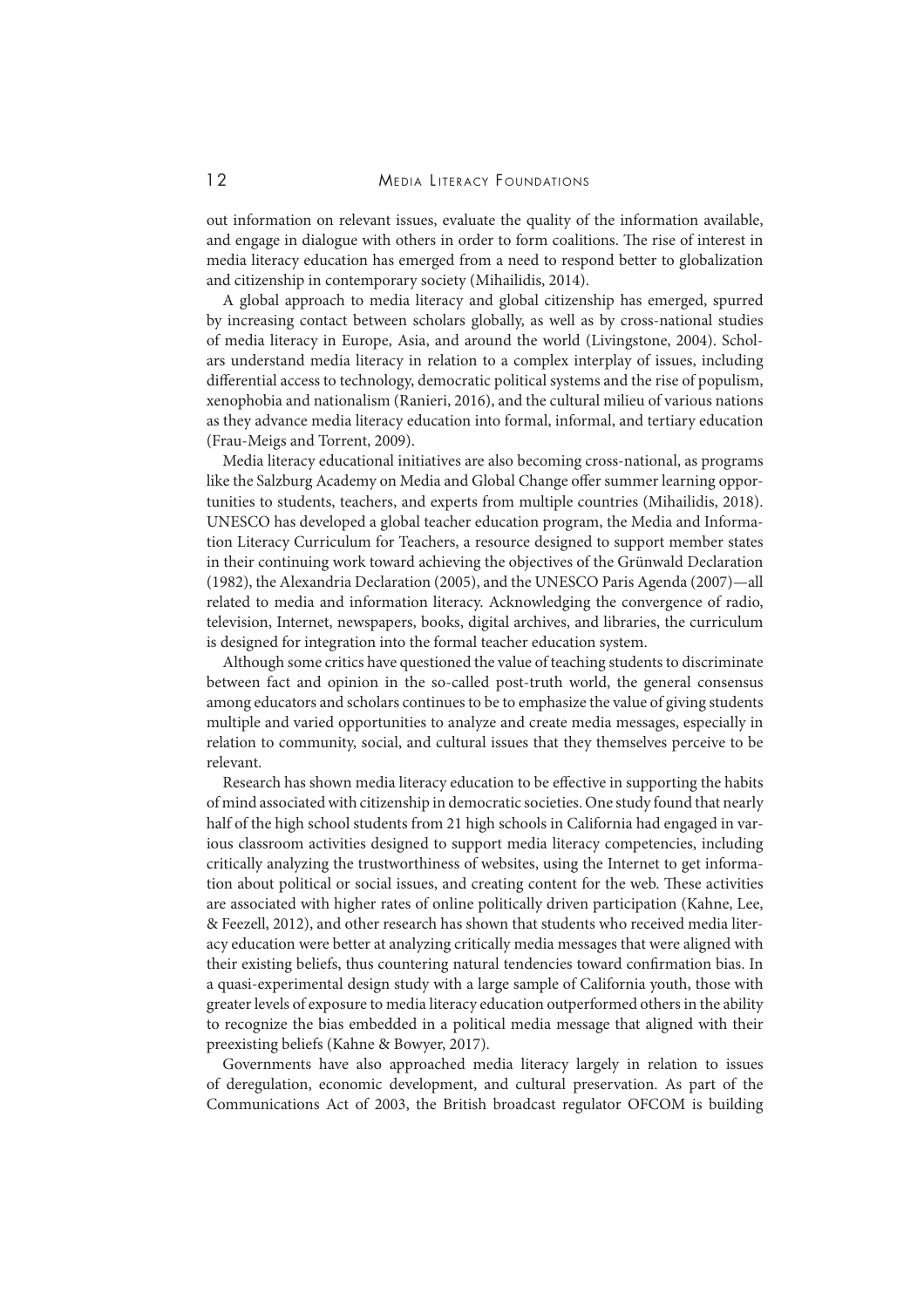out information on relevant issues, evaluate the quality of the information available, and engage in dialogue with others in order to form coalitions. The rise of interest in media literacy education has emerged from a need to respond better to globalization and citizenship in contemporary society (Mihailidis, 2014).

A global approach to media literacy and global citizenship has emerged, spurred by increasing contact between scholars globally, as well as by cross-national studies of media literacy in Europe, Asia, and around the world (Livingstone, 2004). Scholars understand media literacy in relation to a complex interplay of issues, including differential access to technology, democratic political systems and the rise of populism, xenophobia and nationalism (Ranieri, 2016), and the cultural milieu of various nations as they advance media literacy education into formal, informal, and tertiary education (Frau-Meigs and Torrent, 2009).

Media literacy educational initiatives are also becoming cross-national, as programs like the Salzburg Academy on Media and Global Change offer summer learning opportunities to students, teachers, and experts from multiple countries (Mihailidis, 2018). UNESCO has developed a global teacher education program, the Media and Information Literacy Curriculum for Teachers, a resource designed to support member states in their continuing work toward achieving the objectives of the Grünwald Declaration (1982), the Alexandria Declaration (2005), and the UNESCO Paris Agenda (2007)—all related to media and information literacy. Acknowledging the convergence of radio, television, Internet, newspapers, books, digital archives, and libraries, the curriculum is designed for integration into the formal teacher education system.

Although some critics have questioned the value of teaching students to discriminate between fact and opinion in the so-called post-truth world, the general consensus among educators and scholars continues to be to emphasize the value of giving students multiple and varied opportunities to analyze and create media messages, especially in relation to community, social, and cultural issues that they themselves perceive to be relevant.

Research has shown media literacy education to be effective in supporting the habits of mind associated with citizenship in democratic societies. One study found that nearly half of the high school students from 21 high schools in California had engaged in various classroom activities designed to support media literacy competencies, including critically analyzing the trustworthiness of websites, using the Internet to get information about political or social issues, and creating content for the web. These activities are associated with higher rates of online politically driven participation (Kahne, Lee, & Feezell, 2012), and other research has shown that students who received media literacy education were better at analyzing critically media messages that were aligned with their existing beliefs, thus countering natural tendencies toward confirmation bias. In a quasi-experimental design study with a large sample of California youth, those with greater levels of exposure to media literacy education outperformed others in the ability to recognize the bias embedded in a political media message that aligned with their preexisting beliefs (Kahne & Bowyer, 2017).

Governments have also approached media literacy largely in relation to issues of deregulation, economic development, and cultural preservation. As part of the Communications Act of 2003, the British broadcast regulator OFCOM is building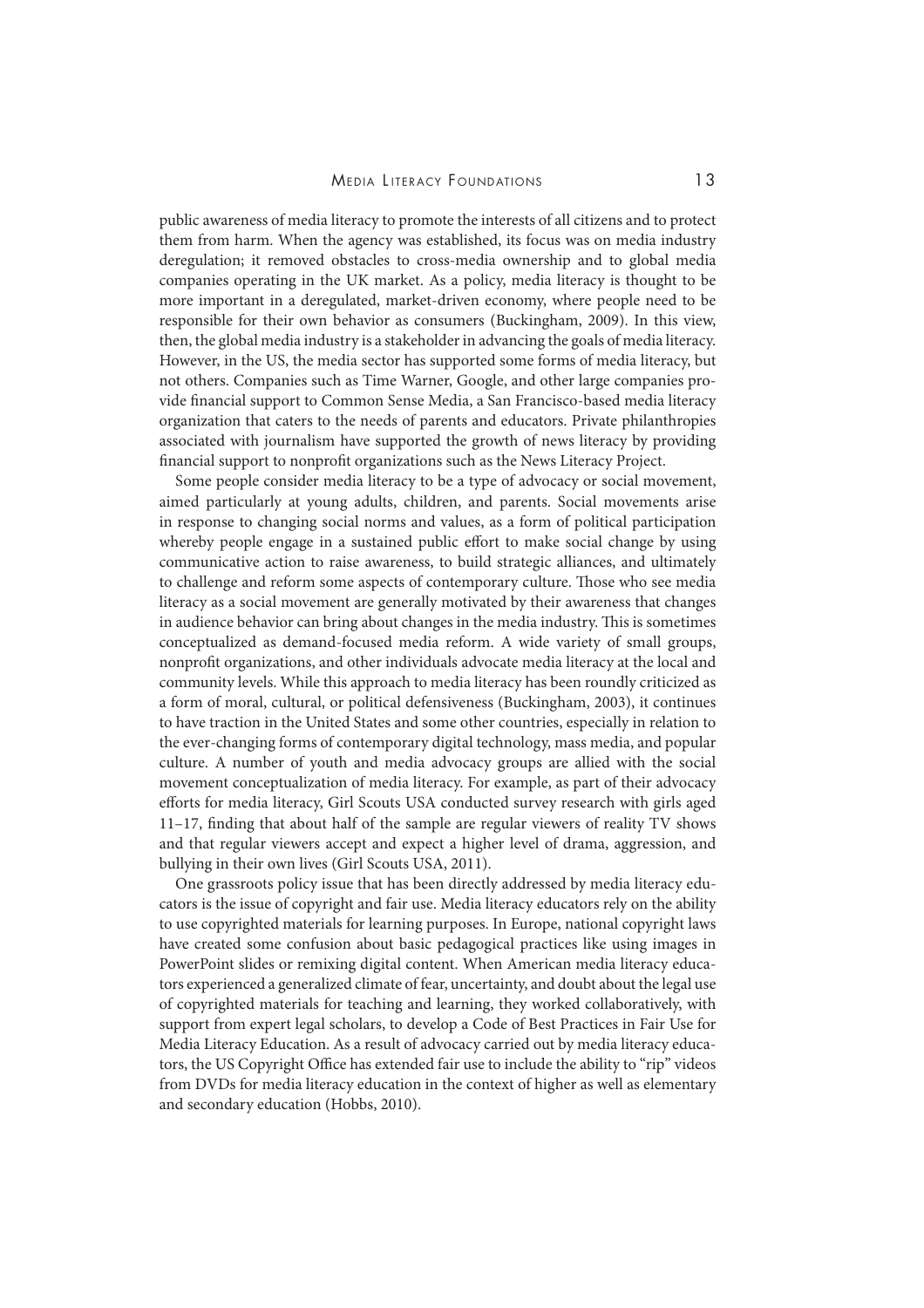public awareness of media literacy to promote the interests of all citizens and to protect them from harm. When the agency was established, its focus was on media industry deregulation; it removed obstacles to cross-media ownership and to global media companies operating in the UK market. As a policy, media literacy is thought to be more important in a deregulated, market-driven economy, where people need to be responsible for their own behavior as consumers (Buckingham, 2009). In this view, then, the global media industry is a stakeholder in advancing the goals of media literacy. However, in the US, the media sector has supported some forms of media literacy, but not others. Companies such as Time Warner, Google, and other large companies provide financial support to Common Sense Media, a San Francisco-based media literacy organization that caters to the needs of parents and educators. Private philanthropies associated with journalism have supported the growth of news literacy by providing financial support to nonprofit organizations such as the News Literacy Project.

Some people consider media literacy to be a type of advocacy or social movement, aimed particularly at young adults, children, and parents. Social movements arise in response to changing social norms and values, as a form of political participation whereby people engage in a sustained public effort to make social change by using communicative action to raise awareness, to build strategic alliances, and ultimately to challenge and reform some aspects of contemporary culture. Those who see media literacy as a social movement are generally motivated by their awareness that changes in audience behavior can bring about changes in the media industry. This is sometimes conceptualized as demand-focused media reform. A wide variety of small groups, nonprofit organizations, and other individuals advocate media literacy at the local and community levels. While this approach to media literacy has been roundly criticized as a form of moral, cultural, or political defensiveness (Buckingham, 2003), it continues to have traction in the United States and some other countries, especially in relation to the ever-changing forms of contemporary digital technology, mass media, and popular culture. A number of youth and media advocacy groups are allied with the social movement conceptualization of media literacy. For example, as part of their advocacy efforts for media literacy, Girl Scouts USA conducted survey research with girls aged 11–17, finding that about half of the sample are regular viewers of reality TV shows and that regular viewers accept and expect a higher level of drama, aggression, and bullying in their own lives (Girl Scouts USA, 2011).

One grassroots policy issue that has been directly addressed by media literacy educators is the issue of copyright and fair use. Media literacy educators rely on the ability to use copyrighted materials for learning purposes. In Europe, national copyright laws have created some confusion about basic pedagogical practices like using images in PowerPoint slides or remixing digital content. When American media literacy educators experienced a generalized climate of fear, uncertainty, and doubt about the legal use of copyrighted materials for teaching and learning, they worked collaboratively, with support from expert legal scholars, to develop a Code of Best Practices in Fair Use for Media Literacy Education. As a result of advocacy carried out by media literacy educators, the US Copyright Office has extended fair use to include the ability to "rip" videos from DVDs for media literacy education in the context of higher as well as elementary and secondary education (Hobbs, 2010).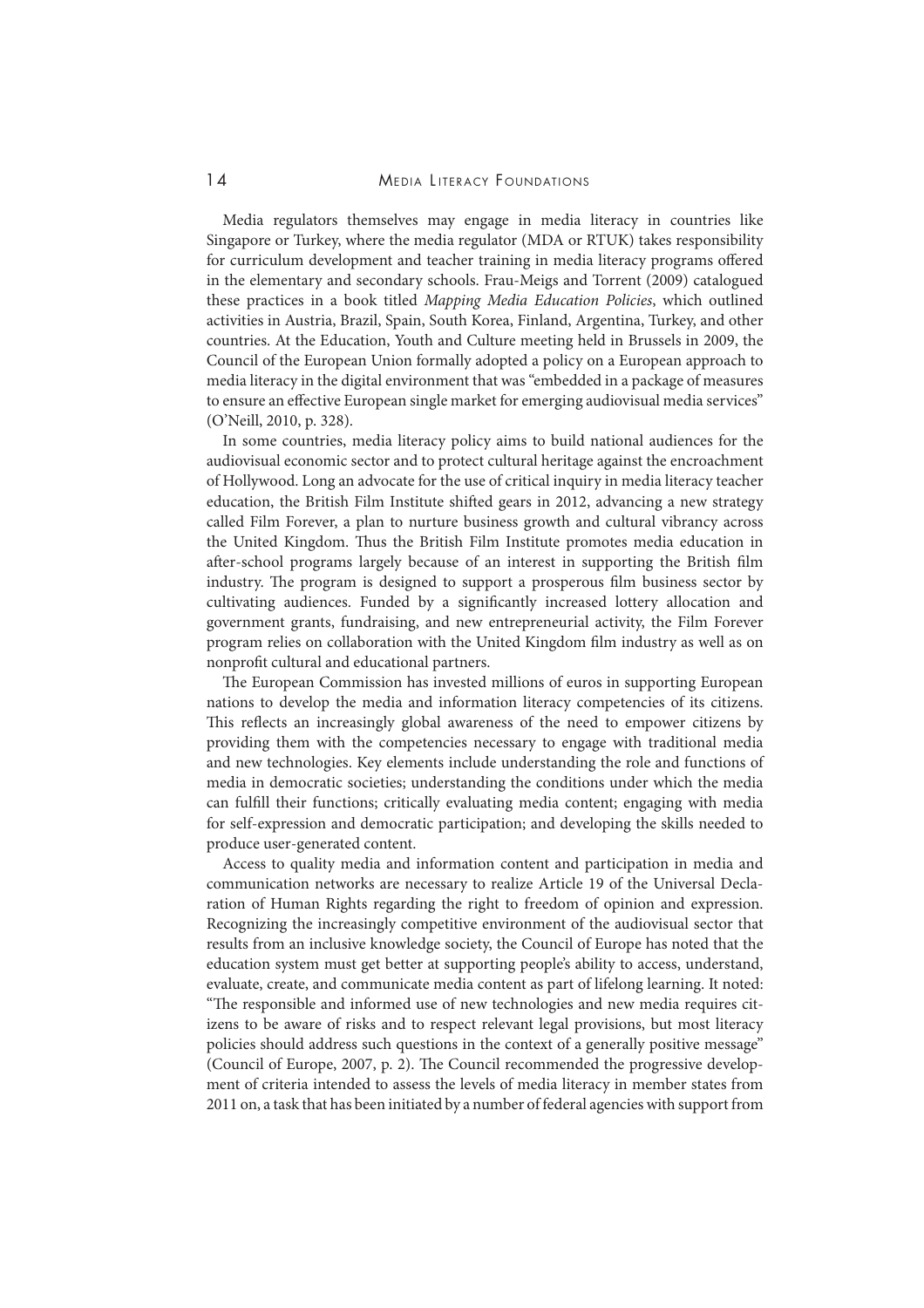#### 14 MEDIA LITERACY FOUNDATIONS

Media regulators themselves may engage in media literacy in countries like Singapore or Turkey, where the media regulator (MDA or RTUK) takes responsibility for curriculum development and teacher training in media literacy programs offered in the elementary and secondary schools. Frau-Meigs and Torrent (2009) catalogued these practices in a book titled *Mapping Media Education Policies*, which outlined activities in Austria, Brazil, Spain, South Korea, Finland, Argentina, Turkey, and other countries. At the Education, Youth and Culture meeting held in Brussels in 2009, the Council of the European Union formally adopted a policy on a European approach to media literacy in the digital environment that was "embedded in a package of measures to ensure an effective European single market for emerging audiovisual media services" (O'Neill, 2010, p. 328).

In some countries, media literacy policy aims to build national audiences for the audiovisual economic sector and to protect cultural heritage against the encroachment of Hollywood. Long an advocate for the use of critical inquiry in media literacy teacher education, the British Film Institute shifted gears in 2012, advancing a new strategy called Film Forever, a plan to nurture business growth and cultural vibrancy across the United Kingdom. Thus the British Film Institute promotes media education in after-school programs largely because of an interest in supporting the British film industry. The program is designed to support a prosperous film business sector by cultivating audiences. Funded by a significantly increased lottery allocation and government grants, fundraising, and new entrepreneurial activity, the Film Forever program relies on collaboration with the United Kingdom film industry as well as on nonprofit cultural and educational partners.

The European Commission has invested millions of euros in supporting European nations to develop the media and information literacy competencies of its citizens. This reflects an increasingly global awareness of the need to empower citizens by providing them with the competencies necessary to engage with traditional media and new technologies. Key elements include understanding the role and functions of media in democratic societies; understanding the conditions under which the media can fulfill their functions; critically evaluating media content; engaging with media for self-expression and democratic participation; and developing the skills needed to produce user-generated content.

Access to quality media and information content and participation in media and communication networks are necessary to realize Article 19 of the Universal Declaration of Human Rights regarding the right to freedom of opinion and expression. Recognizing the increasingly competitive environment of the audiovisual sector that results from an inclusive knowledge society, the Council of Europe has noted that the education system must get better at supporting people's ability to access, understand, evaluate, create, and communicate media content as part of lifelong learning. It noted: "The responsible and informed use of new technologies and new media requires citizens to be aware of risks and to respect relevant legal provisions, but most literacy policies should address such questions in the context of a generally positive message" (Council of Europe, 2007, p. 2). The Council recommended the progressive development of criteria intended to assess the levels of media literacy in member states from 2011 on, a task that has been initiated by a number of federal agencies with support from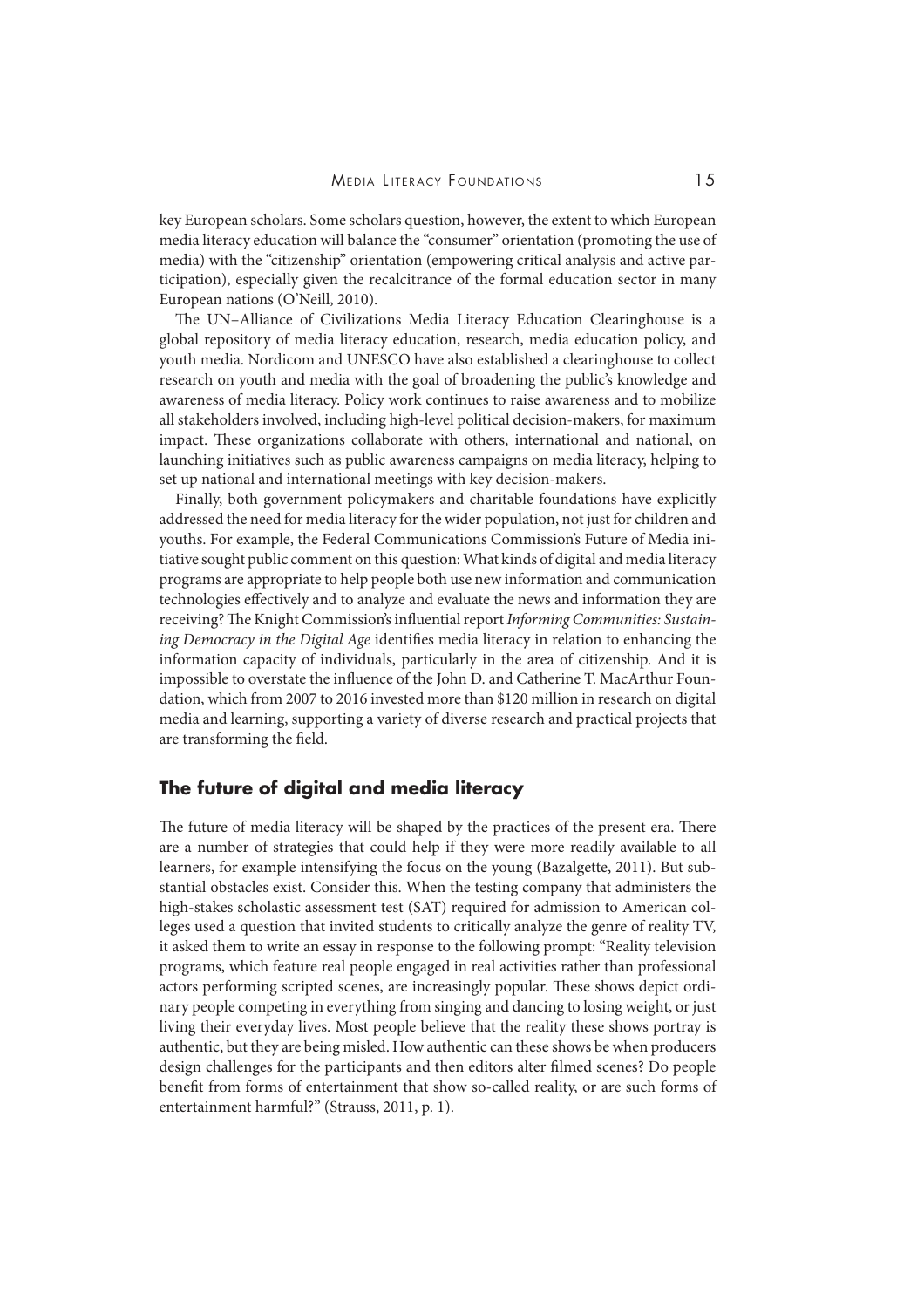key European scholars. Some scholars question, however, the extent to which European media literacy education will balance the "consumer" orientation (promoting the use of media) with the "citizenship" orientation (empowering critical analysis and active participation), especially given the recalcitrance of the formal education sector in many European nations (O'Neill, 2010).

The UN–Alliance of Civilizations Media Literacy Education Clearinghouse is a global repository of media literacy education, research, media education policy, and youth media. Nordicom and UNESCO have also established a clearinghouse to collect research on youth and media with the goal of broadening the public's knowledge and awareness of media literacy. Policy work continues to raise awareness and to mobilize all stakeholders involved, including high-level political decision-makers, for maximum impact. These organizations collaborate with others, international and national, on launching initiatives such as public awareness campaigns on media literacy, helping to set up national and international meetings with key decision-makers.

Finally, both government policymakers and charitable foundations have explicitly addressed the need for media literacy for the wider population, not just for children and youths. For example, the Federal Communications Commission's Future of Media initiative sought public comment on this question:What kinds of digital and media literacy programs are appropriate to help people both use new information and communication technologies effectively and to analyze and evaluate the news and information they are receiving?The Knight Commission's influential report*Informing Communities: Sustaining Democracy in the Digital Age* identifies media literacy in relation to enhancing the information capacity of individuals, particularly in the area of citizenship. And it is impossible to overstate the influence of the John D. and Catherine T. MacArthur Foundation, which from 2007 to 2016 invested more than \$120 million in research on digital media and learning, supporting a variety of diverse research and practical projects that are transforming the field.

## **The future of digital and media literacy**

The future of media literacy will be shaped by the practices of the present era. There are a number of strategies that could help if they were more readily available to all learners, for example intensifying the focus on the young (Bazalgette, 2011). But substantial obstacles exist. Consider this. When the testing company that administers the high-stakes scholastic assessment test (SAT) required for admission to American colleges used a question that invited students to critically analyze the genre of reality TV, it asked them to write an essay in response to the following prompt: "Reality television programs, which feature real people engaged in real activities rather than professional actors performing scripted scenes, are increasingly popular. These shows depict ordinary people competing in everything from singing and dancing to losing weight, or just living their everyday lives. Most people believe that the reality these shows portray is authentic, but they are being misled. How authentic can these shows be when producers design challenges for the participants and then editors alter filmed scenes? Do people benefit from forms of entertainment that show so-called reality, or are such forms of entertainment harmful?" (Strauss, 2011, p. 1).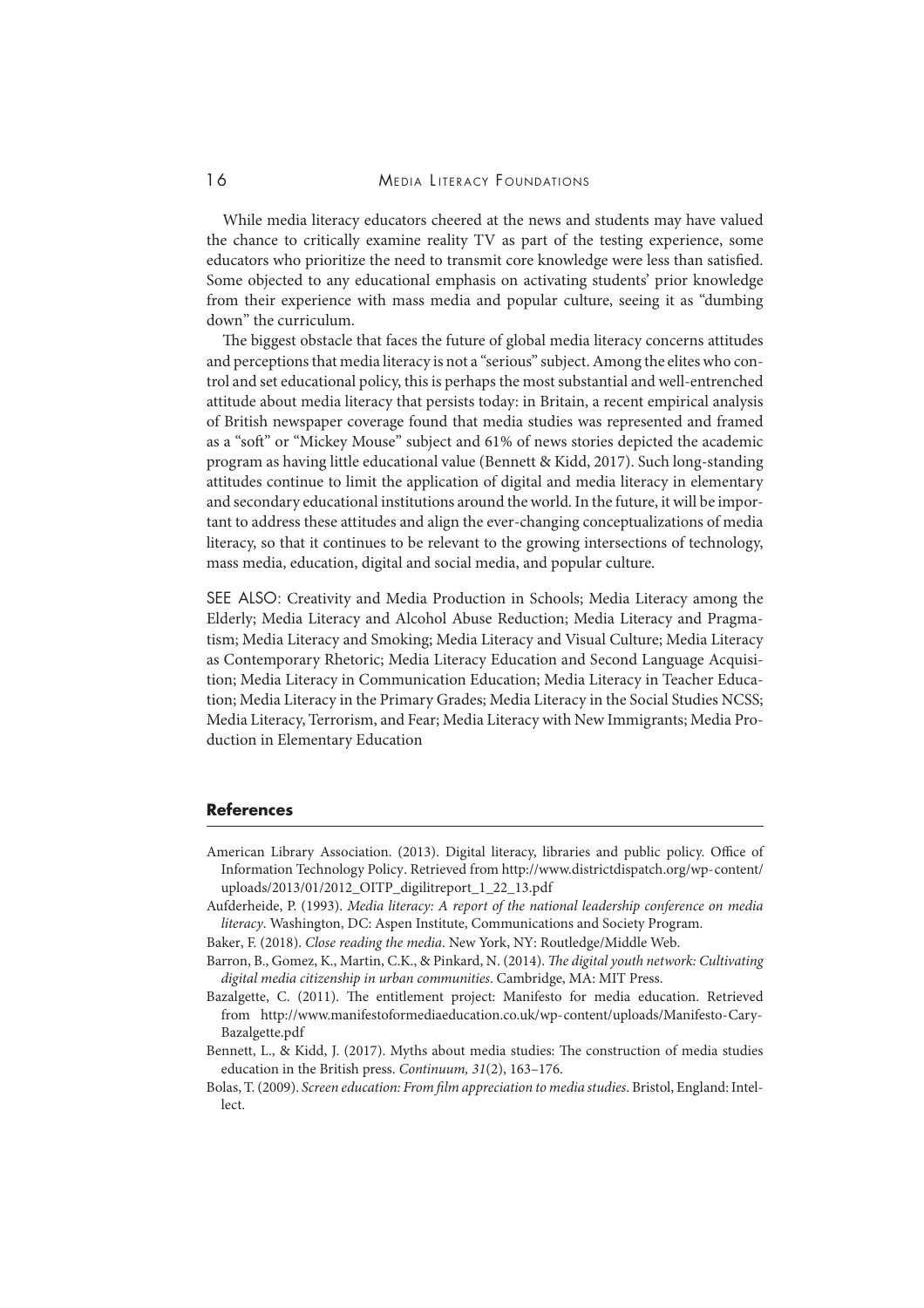While media literacy educators cheered at the news and students may have valued the chance to critically examine reality TV as part of the testing experience, some educators who prioritize the need to transmit core knowledge were less than satisfied. Some objected to any educational emphasis on activating students' prior knowledge from their experience with mass media and popular culture, seeing it as "dumbing down" the curriculum.

The biggest obstacle that faces the future of global media literacy concerns attitudes and perceptions that media literacy is not a "serious" subject. Among the elites who control and set educational policy, this is perhaps the most substantial and well-entrenched attitude about media literacy that persists today: in Britain, a recent empirical analysis of British newspaper coverage found that media studies was represented and framed as a "soft" or "Mickey Mouse" subject and 61% of news stories depicted the academic program as having little educational value (Bennett & Kidd, 2017). Such long-standing attitudes continue to limit the application of digital and media literacy in elementary and secondary educational institutions around the world. In the future, it will be important to address these attitudes and align the ever-changing conceptualizations of media literacy, so that it continues to be relevant to the growing intersections of technology, mass media, education, digital and social media, and popular culture.

SEE ALSO: Creativity and Media Production in Schools; Media Literacy among the Elderly; Media Literacy and Alcohol Abuse Reduction; Media Literacy and Pragmatism; Media Literacy and Smoking; Media Literacy and Visual Culture; Media Literacy as Contemporary Rhetoric; Media Literacy Education and Second Language Acquisition; Media Literacy in Communication Education; Media Literacy in Teacher Education; Media Literacy in the Primary Grades; Media Literacy in the Social Studies NCSS; Media Literacy, Terrorism, and Fear; Media Literacy with New Immigrants; Media Production in Elementary Education

#### **References**

- American Library Association. (2013). Digital literacy, libraries and public policy. Office of Information Technology Policy. Retrieved from [http://www.districtdispatch.org/wp-content/](http://www.districtdispatch.org/wp-content/uploads/2013/01/2012_OITP_digilitreport_1_22_13.pdf) [uploads/2013/01/2012\\_OITP\\_digilitreport\\_1\\_22\\_13.pdf](http://www.districtdispatch.org/wp-content/uploads/2013/01/2012_OITP_digilitreport_1_22_13.pdf)
- Aufderheide, P. (1993). *Media literacy: A report of the national leadership conference on media literacy*. Washington, DC: Aspen Institute, Communications and Society Program.
- Baker, F. (2018). *Close reading the media*. New York, NY: Routledge/Middle Web.
- Barron, B., Gomez, K., Martin, C.K., & Pinkard, N. (2014). *The digital youth network: Cultivating digital media citizenship in urban communities*. Cambridge, MA: MIT Press.
- Bazalgette, C. (2011). The entitlement project: Manifesto for media education. Retrieved from [http://www.manifestoformediaeducation.co.uk/wp-content/uploads/Manifesto-Cary-](http://www.manifestoformediaeducation.co.uk/wp-content/uploads/Manifesto-Cary-Bazalgette.pdf)[Bazalgette.pdf](http://www.manifestoformediaeducation.co.uk/wp-content/uploads/Manifesto-Cary-Bazalgette.pdf)
- Bennett, L., & Kidd, J. (2017). Myths about media studies: The construction of media studies education in the British press. *Continuum, 31*(2), 163–176.
- Bolas, T. (2009). *Screen education: From film appreciation to media studies*. Bristol, England: Intellect.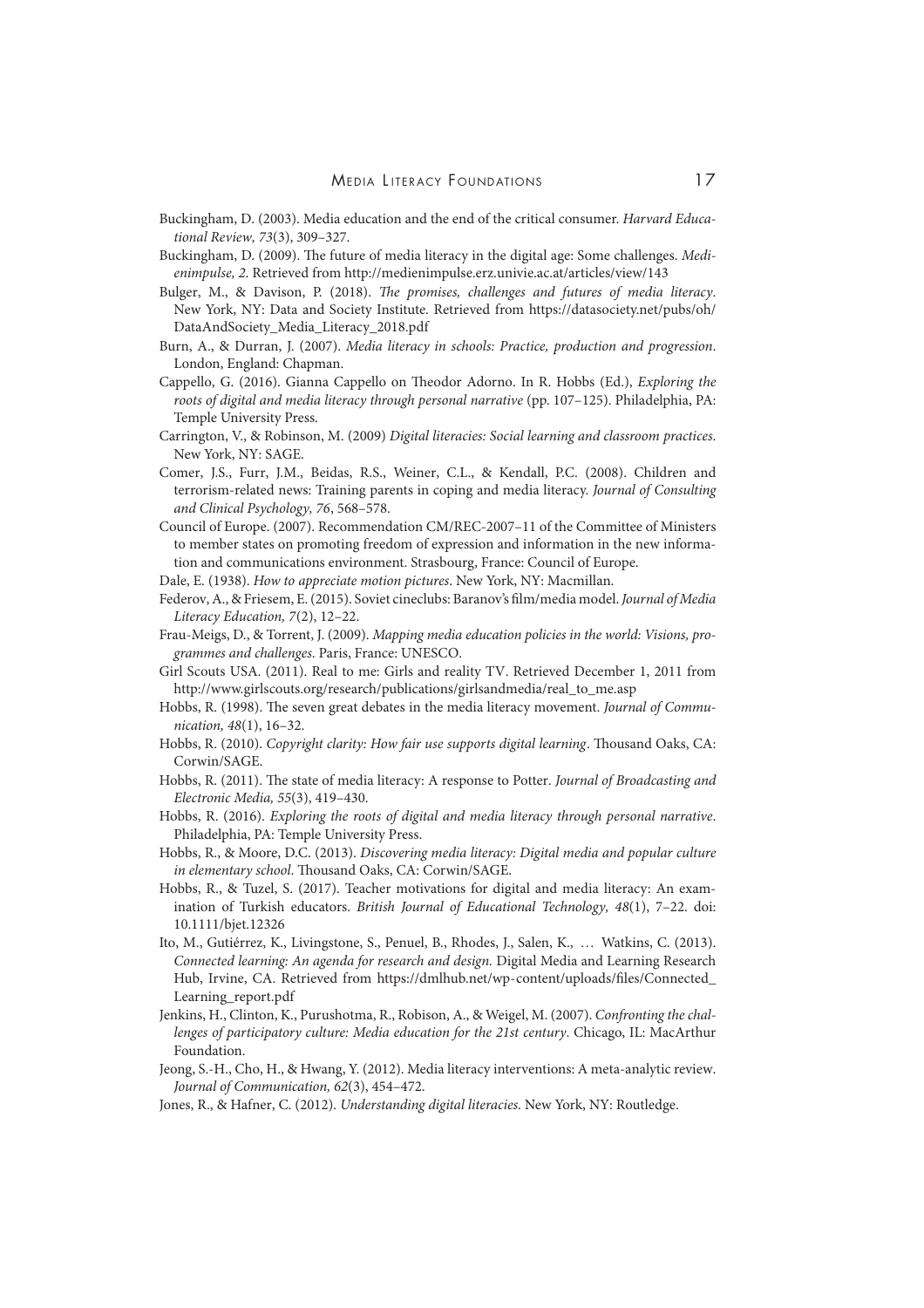- Buckingham, D. (2003). Media education and the end of the critical consumer. *Harvard Educational Review, 73*(3), 309–327.
- Buckingham, D. (2009). The future of media literacy in the digital age: Some challenges. *Medienimpulse, 2*. Retrieved from<http://medienimpulse.erz.univie.ac.at/articles/view/143>
- Bulger, M., & Davison, P. (2018). *The promises, challenges and futures of media literacy*. New York, NY: Data and Society Institute. Retrieved from [https://datasociety.net/pubs/oh/](https://datasociety.net/pubs/oh/DataAndSociety_Media_Literacy_2018.pdf) [DataAndSociety\\_Media\\_Literacy\\_2018.pdf](https://datasociety.net/pubs/oh/DataAndSociety_Media_Literacy_2018.pdf)
- Burn, A., & Durran, J. (2007). *Media literacy in schools: Practice, production and progression*. London, England: Chapman.
- Cappello, G. (2016). Gianna Cappello on Theodor Adorno. In R. Hobbs (Ed.), *Exploring the roots of digital and media literacy through personal narrative* (pp. 107–125). Philadelphia, PA: Temple University Press.
- Carrington, V., & Robinson, M. (2009) *Digital literacies: Social learning and classroom practices*. New York, NY: SAGE.
- Comer, J.S., Furr, J.M., Beidas, R.S., Weiner, C.L., & Kendall, P.C. (2008). Children and terrorism-related news: Training parents in coping and media literacy. *Journal of Consulting and Clinical Psychology, 76*, 568–578.
- Council of Europe. (2007). Recommendation CM/REC-2007–11 of the Committee of Ministers to member states on promoting freedom of expression and information in the new information and communications environment. Strasbourg, France: Council of Europe.
- Dale, E. (1938). *How to appreciate motion pictures*. New York, NY: Macmillan.
- Federov, A., & Friesem, E. (2015). Soviet cineclubs: Baranov's film/media model.*Journal of Media Literacy Education, 7*(2), 12–22.
- Frau-Meigs, D., & Torrent, J. (2009). *Mapping media education policies in the world: Visions, programmes and challenges*. Paris, France: UNESCO.
- Girl Scouts USA. (2011). Real to me: Girls and reality TV. Retrieved December 1, 2011 from [http://www.girlscouts.org/research/publications/girlsandmedia/real\\_to\\_me.asp](http://www.girlscouts.org/research/publications/girlsandmedia/real_to_me.asp)
- Hobbs, R. (1998). The seven great debates in the media literacy movement. *Journal of Communication, 48*(1), 16–32.
- Hobbs, R. (2010). *Copyright clarity: How fair use supports digital learning*. Thousand Oaks, CA: Corwin/SAGE.
- Hobbs, R. (2011). The state of media literacy: A response to Potter. *Journal of Broadcasting and Electronic Media, 55*(3), 419–430.
- Hobbs, R. (2016). *Exploring the roots of digital and media literacy through personal narrative*. Philadelphia, PA: Temple University Press.
- Hobbs, R., & Moore, D.C. (2013). *Discovering media literacy: Digital media and popular culture in elementary school*. Thousand Oaks, CA: Corwin/SAGE.
- Hobbs, R., & Tuzel, S. (2017). Teacher motivations for digital and media literacy: An examination of Turkish educators. *British Journal of Educational Technology, 48*(1), 7–22. doi: 10.1111/bjet.12326
- Ito, M., Gutiérrez, K., Livingstone, S., Penuel, B., Rhodes, J., Salen, K., … Watkins, C. (2013). *Connected learning: An agenda for research and design.* Digital Media and Learning Research Hub, Irvine, CA. Retrieved from [https://dmlhub.net/wp-content/uploads/files/Connected\\_](https://dmlhub.net/wp-content/uploads/files/Connected_Learning_report.pdf) [Learning\\_report.pdf](https://dmlhub.net/wp-content/uploads/files/Connected_Learning_report.pdf)
- Jenkins, H., Clinton, K., Purushotma, R., Robison, A., & Weigel, M. (2007). *Confronting the challenges of participatory culture: Media education for the 21st century*. Chicago, IL: MacArthur Foundation.
- Jeong, S.-H., Cho, H., & Hwang, Y. (2012). Media literacy interventions: A meta-analytic review. *Journal of Communication, 62*(3), 454–472.
- Jones, R., & Hafner, C. (2012). *Understanding digital literacies*. New York, NY: Routledge.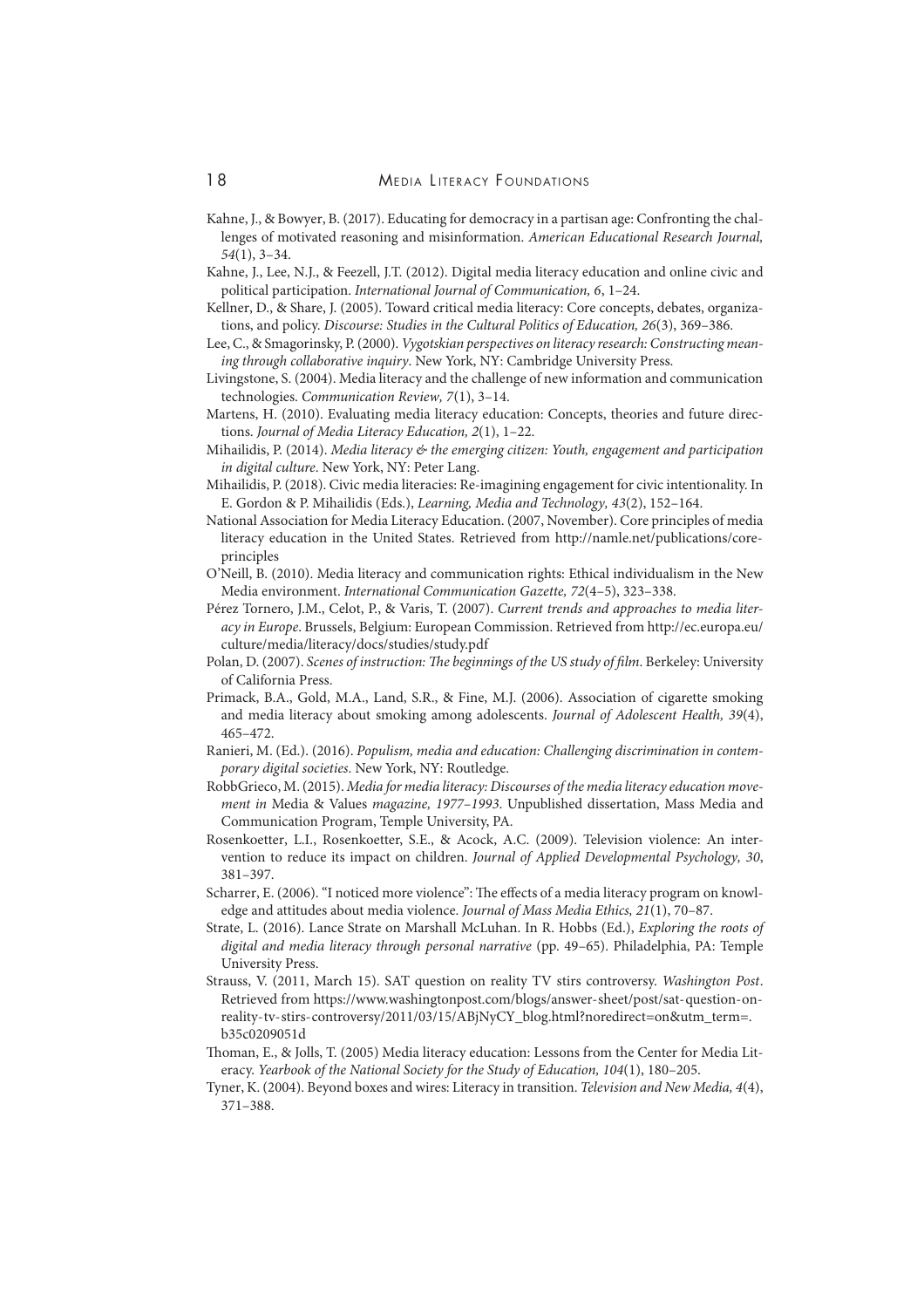- Kahne, J., & Bowyer, B. (2017). Educating for democracy in a partisan age: Confronting the challenges of motivated reasoning and misinformation. *American Educational Research Journal, 54*(1), 3–34.
- Kahne, J., Lee, N.J., & Feezell, J.T. (2012). Digital media literacy education and online civic and political participation. *International Journal of Communication, 6*, 1–24.
- Kellner, D., & Share, J. (2005). Toward critical media literacy: Core concepts, debates, organizations, and policy. *Discourse: Studies in the Cultural Politics of Education, 26*(3), 369–386.
- Lee, C., & Smagorinsky, P. (2000).*Vygotskian perspectives on literacy research: Constructing meaning through collaborative inquiry*. New York, NY: Cambridge University Press.
- Livingstone, S. (2004). Media literacy and the challenge of new information and communication technologies. *Communication Review, 7*(1), 3–14.
- Martens, H. (2010). Evaluating media literacy education: Concepts, theories and future directions. *Journal of Media Literacy Education, 2*(1), 1–22.
- Mihailidis, P. (2014). *Media literacy & the emerging citizen: Youth, engagement and participation in digital culture*. New York, NY: Peter Lang.
- Mihailidis, P. (2018). Civic media literacies: Re-imagining engagement for civic intentionality. In E. Gordon & P. Mihailidis (Eds.), *Learning, Media and Technology, 43*(2), 152–164.
- National Association for Media Literacy Education. (2007, November). Core principles of media literacy education in the United States. Retrieved from [http://namle.net/publications/core](http://namle.net/publications/core-principles)[principles](http://namle.net/publications/core-principles)
- O'Neill, B. (2010). Media literacy and communication rights: Ethical individualism in the New Media environment. *International Communication Gazette, 72*(4–5), 323–338.
- Pérez Tornero, J.M., Celot, P., & Varis, T. (2007). *Current trends and approaches to media literacy in Europe*. Brussels, Belgium: European Commission. Retrieved from [http://ec.europa.eu/](http://ec.europa.eu) culture/media/literacy/docs/studies/study.pdf
- Polan, D. (2007). *Scenes of instruction: The beginnings of the US study of film*. Berkeley: University of California Press.
- Primack, B.A., Gold, M.A., Land, S.R., & Fine, M.J. (2006). Association of cigarette smoking and media literacy about smoking among adolescents. *Journal of Adolescent Health, 39*(4), 465–472.
- Ranieri, M. (Ed.). (2016). *Populism, media and education: Challenging discrimination in contemporary digital societies*. New York, NY: Routledge.
- RobbGrieco, M. (2015). *Media for media literacy: Discourses of the media literacy education movement in* Media & Values *magazine, 1977–1993*. Unpublished dissertation, Mass Media and Communication Program, Temple University, PA.
- Rosenkoetter, L.I., Rosenkoetter, S.E., & Acock, A.C. (2009). Television violence: An intervention to reduce its impact on children. *Journal of Applied Developmental Psychology, 30*, 381–397.
- Scharrer, E. (2006). "I noticed more violence": The effects of a media literacy program on knowledge and attitudes about media violence. *Journal of Mass Media Ethics, 21*(1), 70–87.
- Strate, L. (2016). Lance Strate on Marshall McLuhan. In R. Hobbs (Ed.), *Exploring the roots of digital and media literacy through personal narrative* (pp. 49–65). Philadelphia, PA: Temple University Press.
- Strauss, V. (2011, March 15). SAT question on reality TV stirs controversy. *Washington Post*. Retrieved from [https://www.washingtonpost.com/blogs/answer-sheet/post/sat-question-on](https://www.washingtonpost.com/blogs/answer-sheet/post/sat-question-on-reality-tv-stirs-controversy/2011/03/15/ABjNyCY_blog.html?noredirect=on&utm_term=.b35c0209051d)[reality-tv-stirs-controversy/2011/03/15/ABjNyCY\\_blog.html?noredirect=on&utm\\_term=.](https://www.washingtonpost.com/blogs/answer-sheet/post/sat-question-on-reality-tv-stirs-controversy/2011/03/15/ABjNyCY_blog.html?noredirect=on&utm_term=.b35c0209051d) [b35c0209051d](https://www.washingtonpost.com/blogs/answer-sheet/post/sat-question-on-reality-tv-stirs-controversy/2011/03/15/ABjNyCY_blog.html?noredirect=on&utm_term=.b35c0209051d)
- Thoman, E., & Jolls, T. (2005) Media literacy education: Lessons from the Center for Media Literacy. *Yearbook of the National Society for the Study of Education, 104*(1), 180–205.
- Tyner, K. (2004). Beyond boxes and wires: Literacy in transition. *Television and New Media, 4*(4), 371–388.